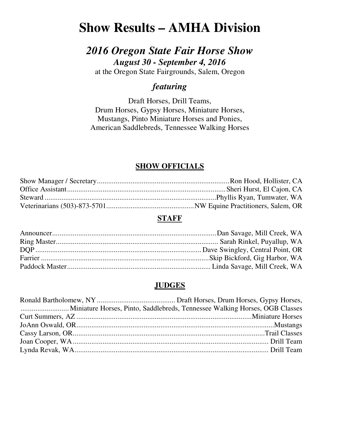# **Show Results – AMHA Division**

# *2016 Oregon State Fair Horse Show August 30 - September 4, 2016*

at the Oregon State Fairgrounds, Salem, Oregon

# *featuring*

Draft Horses, Drill Teams, Drum Horses, Gypsy Horses, Miniature Horses, Mustangs, Pinto Miniature Horses and Ponies, American Saddlebreds, Tennessee Walking Horses

# **SHOW OFFICIALS**

### **STAFF**

# **JUDGES**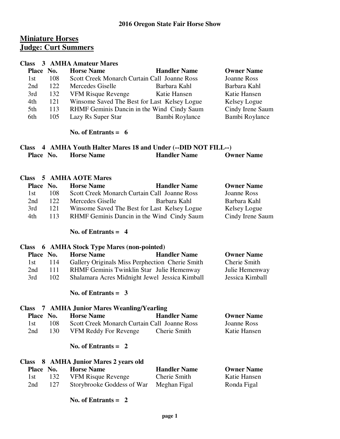# **Miniature Horses Judge: Curt Summers**

#### **Class 3 AMHA Amateur Mares**

| Place No. |     | <b>Horse Name</b>                            | <b>Handler Name</b> | <b>Owner Name</b> |
|-----------|-----|----------------------------------------------|---------------------|-------------------|
| 1st       | 108 | Scott Creek Monarch Curtain Call Joanne Ross |                     | Joanne Ross       |
| 2nd       | 122 | Mercedes Giselle                             | Barbara Kahl        | Barbara Kahl      |
| 3rd       | 132 | <b>VFM Risque Revenge</b>                    | Katie Hansen        | Katie Hansen      |
| 4th       | 121 | Winsome Saved The Best for Last Kelsey Logue |                     | Kelsey Logue      |
| 5th       | 113 | RHMF Geminis Dancin in the Wind Cindy Saum   |                     | Cindy Irene Saum  |
| 6th       | 105 | Lazy Rs Super Star                           | Bambi Roylance      | Bambi Roylance    |
|           |     |                                              |                     |                   |

#### **No. of Entrants = 6**

|           |  | Class 4 AMHA Youth Halter Mares 18 and Under (--DID NOT FILL--) |                     |                   |
|-----------|--|-----------------------------------------------------------------|---------------------|-------------------|
| Place No. |  | <b>Horse Name</b>                                               | <b>Handler Name</b> | <b>Owner Name</b> |

#### **Class 5 AMHA AOTE Mares**

| Place No. |     | <b>Horse Name</b> | <b>Handler Name</b>                          | <b>Owner Name</b> |
|-----------|-----|-------------------|----------------------------------------------|-------------------|
| 1st.      | 108 |                   | Scott Creek Monarch Curtain Call Joanne Ross | Joanne Ross       |
| 2nd       | 122 | Mercedes Giselle  | Barbara Kahl                                 | Barbara Kahl      |
| 3rd       | 121 |                   | Winsome Saved The Best for Last Kelsey Logue | Kelsey Logue      |
| 4th       | 113 |                   | RHMF Geminis Dancin in the Wind Cindy Saum   | Cindy Irene Saum  |

#### **No. of Entrants = 4**

#### **Class 6 AMHA Stock Type Mares (non-pointed)**

| Place No. |     | <b>Horse Name</b>                               | <b>Handler Name</b> | <b>Owner Name</b> |
|-----------|-----|-------------------------------------------------|---------------------|-------------------|
| 1st       | 114 | Gallery Originals Miss Perphection Cherie Smith |                     | Cherie Smith      |
| 2nd       | 111 | RHMF Geminis Twinklin Star Julie Hemenway       |                     | Julie Hemenway    |
| 3rd       | 102 | Shalamara Acres Midnight Jewel Jessica Kimball  |                     | Jessica Kimball   |

#### **No. of Entrants = 3**

# **Class 7 AMHA Junior Mares Weanling/Yearling Place No. Horse Name Bandler Name Bandler Name Cowner Name**  1st 108 Scott Creek Monarch Curtain Call Joanne Ross Joanne Ross 2nd 130 VFM Reddy For Revenge Cherie Smith Katie Hansen

#### **No. of Entrants = 2**

|           |     | Class 8 AMHA Junior Mares 2 years old |                     |                   |
|-----------|-----|---------------------------------------|---------------------|-------------------|
| Place No. |     | <b>Horse Name</b>                     | <b>Handler Name</b> | <b>Owner Name</b> |
| 1st -     | 132 | <b>VFM Risque Revenge</b>             | Cherie Smith        | Katie Hansen      |
| 2nd       | 127 | Storybrooke Goddess of War            | Meghan Figal        | Ronda Figal       |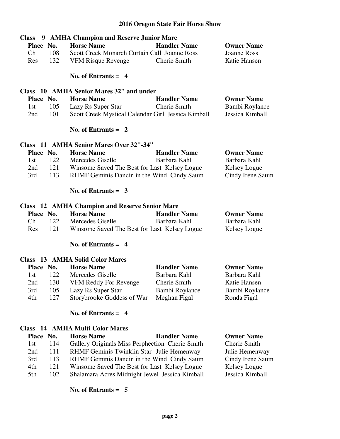| 9 AMHA Champion and Reserve Junior Mare<br><b>Class</b> |                       |                                                       |                     |                    |
|---------------------------------------------------------|-----------------------|-------------------------------------------------------|---------------------|--------------------|
| Place No.                                               |                       | <b>Horse Name</b>                                     | <b>Handler Name</b> | <b>Owner Name</b>  |
| Ch                                                      | 108                   | Scott Creek Monarch Curtain Call Joanne Ross          |                     | <b>Joanne Ross</b> |
| Res                                                     | 132                   | <b>VFM Risque Revenge</b>                             | Cherie Smith        | Katie Hansen       |
|                                                         |                       | No. of Entrants $= 4$                                 |                     |                    |
|                                                         |                       | Class 10 AMHA Senior Mares 32" and under              |                     |                    |
| Place No.                                               |                       | <b>Horse Name</b>                                     | <b>Handler Name</b> | <b>Owner Name</b>  |
| 1st                                                     | 105                   | Lazy Rs Super Star                                    | Cherie Smith        | Bambi Roylance     |
| 2nd                                                     | 101                   | Scott Creek Mystical Calendar Girl Jessica Kimball    |                     | Jessica Kimball    |
|                                                         | No. of Entrants $= 2$ |                                                       |                     |                    |
|                                                         |                       | Class 11 AMHA Senior Mares Over 32"-34"               |                     |                    |
| Place No.                                               |                       | <b>Horse Name</b>                                     | <b>Handler Name</b> | <b>Owner Name</b>  |
| 1st                                                     | 122                   | Mercedes Giselle                                      | Barbara Kahl        | Barbara Kahl       |
| 2nd                                                     |                       | 121 Winsome Saved The Best for Last Kelsey Logue      |                     | Kelsey Logue       |
| 3rd                                                     | 113                   | RHMF Geminis Dancin in the Wind Cindy Saum            |                     | Cindy Irene Saum   |
|                                                         | No. of Entrants $=$ 3 |                                                       |                     |                    |
|                                                         |                       | <b>Class</b> 12 AMHA Champion and Reserve Senior Mare |                     |                    |
| Place No.                                               |                       | <b>Horse Name</b>                                     | <b>Handler Name</b> | <b>Owner Name</b>  |
| Ch                                                      | 122                   | Mercedes Giselle                                      | Barbara Kahl        | Barbara Kahl       |
| <b>Res</b>                                              | 121                   | Winsome Saved The Best for Last Kelsey Logue          |                     | Kelsey Logue       |
| No. of Entrants $= 4$                                   |                       |                                                       |                     |                    |

|           |     | <b>Class</b> 13 AMHA Solid Color Mares |                     |                   |
|-----------|-----|----------------------------------------|---------------------|-------------------|
| Place No. |     | <b>Horse Name</b>                      | <b>Handler Name</b> | <b>Owner Name</b> |
| 1st       | 122 | Mercedes Giselle                       | Barbara Kahl        | Barbara Kahl      |
| 2nd       | 130 | VFM Reddy For Revenge                  | Cherie Smith        | Katie Hansen      |
| 3rd       | 105 | Lazy Rs Super Star                     | Bambi Roylance      | Bambi Roylance    |
| 4th       | 127 | Storybrooke Goddess of War             | Meghan Figal        | Ronda Figal       |

### **No. of Entrants = 4**

# **Class 14 AMHA Multi Color Mares**

| Place No. |      | <b>Horse Name</b>                               | <b>Handler Name</b> | <b>Owner Name</b> |
|-----------|------|-------------------------------------------------|---------------------|-------------------|
| 1st       | 114  | Gallery Originals Miss Perphection Cherie Smith |                     | Cherie Smith      |
| 2nd       | -111 | RHMF Geminis Twinklin Star Julie Hemenway       |                     | Julie Hemenway    |
| 3rd       | 113  | RHMF Geminis Dancin in the Wind Cindy Saum      |                     | Cindy Irene Saum  |
| 4th       | 121  | Winsome Saved The Best for Last Kelsey Logue    |                     | Kelsey Logue      |
| 5th       | 102  | Shalamara Acres Midnight Jewel Jessica Kimball  |                     | Jessica Kimball   |
|           |      |                                                 |                     |                   |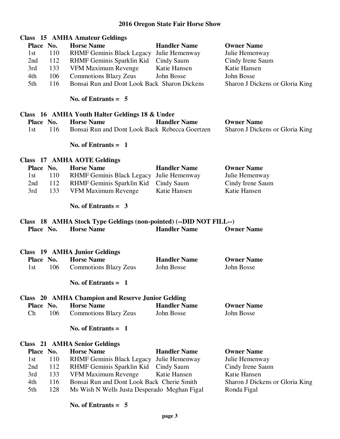|           | <b>Class</b> 15 AMHA Amateur Geldings |                                              |                     |                                 |  |  |  |
|-----------|---------------------------------------|----------------------------------------------|---------------------|---------------------------------|--|--|--|
| Place No. |                                       | <b>Horse Name</b>                            | <b>Handler Name</b> | <b>Owner Name</b>               |  |  |  |
| 1st       | 110                                   | RHMF Geminis Black Legacy Julie Hemenway     |                     | Julie Hemenway                  |  |  |  |
| 2nd       | 112                                   | RHMF Geminis Sparklin Kid                    | Cindy Saum          | Cindy Irene Saum                |  |  |  |
| 3rd       | 133                                   | VFM Maximum Revenge                          | Katie Hansen        | Katie Hansen                    |  |  |  |
| 4th       | 106                                   | <b>Commotions Blazy Zeus</b>                 | John Bosse          | John Bosse                      |  |  |  |
| 5th       | 116                                   | Bonsai Run and Dont Look Back Sharon Dickens |                     | Sharon J Dickens or Gloria King |  |  |  |

 **No. of Entrants = 5** 

|     | Class 16 AMHA Youth Halter Geldings 18 & Under |                                                |                     |                                 |  |  |
|-----|------------------------------------------------|------------------------------------------------|---------------------|---------------------------------|--|--|
|     | Place No.                                      | <b>Horse Name</b>                              | <b>Handler Name</b> | <b>Owner Name</b>               |  |  |
| 1st | -116 -                                         | Bonsai Run and Dont Look Back Rebecca Goertzen |                     | Sharon J Dickens or Gloria King |  |  |

 **No. of Entrants = 1** 

#### **Class 17 AMHA AOTE Geldings**

| Place No. |     | <b>Horse Name</b>                        | <b>Handler Name</b> | <b>Owner Name</b> |
|-----------|-----|------------------------------------------|---------------------|-------------------|
| 1st.      | 110 | RHMF Geminis Black Legacy Julie Hemenway |                     | Julie Hemenway    |
| 2nd       | 112 | RHMF Geminis Sparklin Kid Cindy Saum     |                     | Cindy Irene Saum  |
| 3rd       | 133 | VFM Maximum Revenge                      | Katie Hansen        | Katie Hansen      |

 **No. of Entrants = 3** 

#### **Class 18 AMHA Stock Type Geldings (non-pointed) (--DID NOT FILL--) Place No. Horse Name Bandler Name Bandler Name Owner Name**

|     |           | Class 19 AMHA Junior Geldings |                     |                   |
|-----|-----------|-------------------------------|---------------------|-------------------|
|     | Place No. | <b>Horse Name</b>             | <b>Handler Name</b> | <b>Owner Name</b> |
| 1st | 106.      | <b>Commotions Blazy Zeus</b>  | John Bosse          | John Bosse        |

 **No. of Entrants = 1** 

#### **Class 20 AMHA Champion and Reserve Junior Gelding Place No. Horse Name Community Handler Name Community Owner Name** Ch 106 Commotions Blazy Zeus John Bosse John Bosse

#### **No. of Entrants = 1**

#### **Class 21 AMHA Senior Geldings**

| Place No. |     | <b>Horse Name</b>                            | <b>Handler Name</b> | <b>Owner Name</b>               |
|-----------|-----|----------------------------------------------|---------------------|---------------------------------|
| 1st       | 110 | RHMF Geminis Black Legacy Julie Hemenway     |                     | Julie Hemenway                  |
| 2nd       | 112 | RHMF Geminis Sparklin Kid Cindy Saum         |                     | Cindy Irene Saum                |
| 3rd       | 133 | VFM Maximum Revenge Katie Hansen             |                     | Katie Hansen                    |
| 4th       | 116 | Bonsai Run and Dont Look Back Cherie Smith   |                     | Sharon J Dickens or Gloria King |
| 5th       | 128 | Ms Wish N Wells Justa Desperado Meghan Figal |                     | Ronda Figal                     |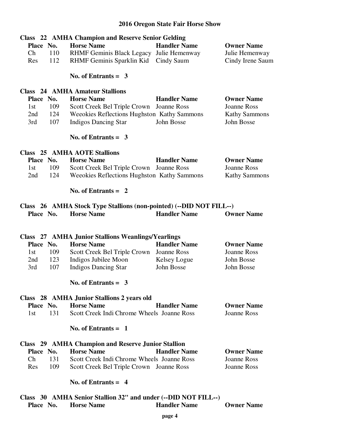|                                                                | <b>Class</b> 22 AMHA Champion and Reserve Senior Gelding            |                     |                      |  |
|----------------------------------------------------------------|---------------------------------------------------------------------|---------------------|----------------------|--|
| Place No.                                                      | <b>Horse Name</b>                                                   | <b>Handler Name</b> | <b>Owner Name</b>    |  |
| 110<br>Ch                                                      | <b>RHMF Geminis Black Legacy</b>                                    | Julie Hemenway      | Julie Hemenway       |  |
| 112<br>Res                                                     | RHMF Geminis Sparklin Kid                                           | Cindy Saum          | Cindy Irene Saum     |  |
|                                                                | No. of Entrants $=$ 3                                               |                     |                      |  |
|                                                                | <b>Class</b> 24 AMHA Amateur Stallions                              |                     |                      |  |
| Place No.                                                      | <b>Horse Name</b>                                                   | <b>Handler Name</b> | <b>Owner Name</b>    |  |
| 109<br>1st                                                     | Scott Creek Bel Triple Crown                                        | Joanne Ross         | <b>Joanne Ross</b>   |  |
| 124<br>2nd                                                     | Weeokies Reflections Hughston Kathy Sammons                         |                     | <b>Kathy Sammons</b> |  |
| 107<br>3rd                                                     | <b>Indigos Dancing Star</b>                                         | John Bosse          | John Bosse           |  |
|                                                                | No. of Entrants $=$ 3                                               |                     |                      |  |
|                                                                | <b>Class 25 AMHA AOTE Stallions</b>                                 |                     |                      |  |
| Place No.                                                      | <b>Horse Name</b>                                                   | <b>Handler Name</b> | <b>Owner Name</b>    |  |
| 109<br>1st                                                     | Scott Creek Bel Triple Crown                                        | Joanne Ross         | <b>Joanne Ross</b>   |  |
| 124<br>2nd                                                     | Weeokies Reflections Hughston Kathy Sammons                         |                     | <b>Kathy Sammons</b> |  |
|                                                                | No. of Entrants $= 2$                                               |                     |                      |  |
|                                                                | Class 26 AMHA Stock Type Stallions (non-pointed) (--DID NOT FILL--) |                     |                      |  |
| Place No.                                                      | <b>Horse Name</b>                                                   | <b>Handler Name</b> | <b>Owner Name</b>    |  |
|                                                                | <b>Class</b> 27 AMHA Junior Stallions Weanlings/Yearlings           |                     |                      |  |
| Place No.                                                      | <b>Horse Name</b>                                                   | <b>Handler Name</b> | <b>Owner Name</b>    |  |
| 109<br>1st                                                     | Scott Creek Bel Triple Crown                                        | Joanne Ross         | <b>Joanne Ross</b>   |  |
| 123<br>2nd                                                     | Indigos Jubilee Moon                                                | Kelsey Logue        | John Bosse           |  |
| 107<br>3rd                                                     | <b>Indigos Dancing Star</b>                                         | John Bosse          | John Bosse           |  |
|                                                                | No. of Entrants = $3$                                               |                     |                      |  |
|                                                                | Class 28 AMHA Junior Stallions 2 years old                          |                     |                      |  |
| Place No.                                                      | <b>Horse Name</b>                                                   | <b>Handler Name</b> | <b>Owner Name</b>    |  |
| 131<br>1st                                                     | Scott Creek Indi Chrome Wheels Joanne Ross                          |                     | <b>Joanne Ross</b>   |  |
|                                                                | No. of Entrants $= 1$                                               |                     |                      |  |
|                                                                | <b>Class</b> 29 AMHA Champion and Reserve Junior Stallion           |                     |                      |  |
| Place No.                                                      | <b>Horse Name</b>                                                   | <b>Handler Name</b> | <b>Owner Name</b>    |  |
| Ch<br>131                                                      | Scott Creek Indi Chrome Wheels Joanne Ross                          |                     | <b>Joanne Ross</b>   |  |
| 109<br>Res                                                     | Scott Creek Bel Triple Crown Joanne Ross                            |                     | <b>Joanne Ross</b>   |  |
|                                                                | No. of Entrants $= 4$                                               |                     |                      |  |
| Class 30 AMHA Senior Stallion 32" and under (--DID NOT FILL--) |                                                                     |                     |                      |  |

Place No. Horse Name **Handler Name** Owner Name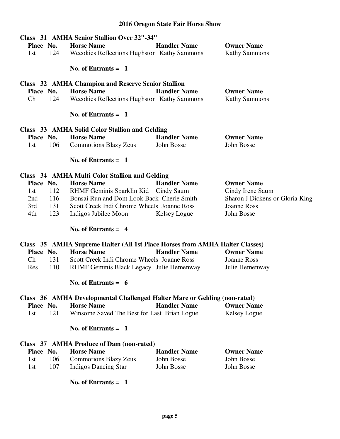|            | Class 31 AMHA Senior Stallion Over 32"-34"                                   |                     |                                 |
|------------|------------------------------------------------------------------------------|---------------------|---------------------------------|
| Place No.  | <b>Horse Name</b>                                                            | <b>Handler Name</b> | <b>Owner Name</b>               |
| 124<br>1st | Weeokies Reflections Hughston Kathy Sammons                                  |                     | <b>Kathy Sammons</b>            |
|            | No. of Entrants $= 1$                                                        |                     |                                 |
|            | <b>Class</b> 32 AMHA Champion and Reserve Senior Stallion                    |                     |                                 |
| Place No.  | <b>Horse Name</b>                                                            | <b>Handler Name</b> | <b>Owner Name</b>               |
| Ch<br>124  | Weeokies Reflections Hughston Kathy Sammons                                  |                     | <b>Kathy Sammons</b>            |
|            | No. of Entrants $= 1$                                                        |                     |                                 |
|            | Class 33 AMHA Solid Color Stallion and Gelding                               |                     |                                 |
| Place No.  | <b>Horse Name</b>                                                            | <b>Handler Name</b> | <b>Owner Name</b>               |
| 106<br>1st | <b>Commotions Blazy Zeus</b>                                                 | John Bosse          | John Bosse                      |
|            | No. of Entrants $= 1$                                                        |                     |                                 |
|            | Class 34 AMHA Multi Color Stallion and Gelding                               |                     |                                 |
| Place No.  | <b>Horse Name</b>                                                            | <b>Handler Name</b> | <b>Owner Name</b>               |
| 112<br>1st | RHMF Geminis Sparklin Kid Cindy Saum                                         |                     | Cindy Irene Saum                |
| 116<br>2nd | Bonsai Run and Dont Look Back Cherie Smith                                   |                     | Sharon J Dickens or Gloria King |
| 131<br>3rd | Scott Creek Indi Chrome Wheels Joanne Ross                                   |                     | <b>Joanne Ross</b>              |
| 4th<br>123 | Indigos Jubilee Moon                                                         | Kelsey Logue        | John Bosse                      |
|            | No. of Entrants $= 4$                                                        |                     |                                 |
|            | Class 35 AMHA Supreme Halter (All 1st Place Horses from AMHA Halter Classes) |                     |                                 |
| Place No.  | <b>Horse Name</b>                                                            | <b>Handler Name</b> | <b>Owner Name</b>               |
| Ch<br>131  | Scott Creek Indi Chrome Wheels Joanne Ross                                   |                     | <b>Joanne Ross</b>              |
| 110<br>Res | RHMF Geminis Black Legacy Julie Hemenway                                     |                     | Julie Hemenway                  |
|            | No. of Entrants $= 6$                                                        |                     |                                 |
|            | Class 36 AMHA Developmental Challenged Halter Mare or Gelding (non-rated)    |                     |                                 |
| Place No.  | <b>Horse Name</b>                                                            | <b>Handler Name</b> | <b>Owner Name</b>               |
| 121<br>1st | Winsome Saved The Best for Last Brian Logue                                  |                     | Kelsey Logue                    |
|            | No. of Entrants $= 1$                                                        |                     |                                 |
|            | Class 37 AMHA Produce of Dam (non-rated)                                     |                     |                                 |
| Place No.  | <b>Horse Name</b>                                                            | <b>Handler Name</b> | <b>Owner Name</b>               |
| 106<br>1st | <b>Commotions Blazy Zeus</b>                                                 | John Bosse          | John Bosse                      |
| 107<br>1st | <b>Indigos Dancing Star</b>                                                  | John Bosse          | John Bosse                      |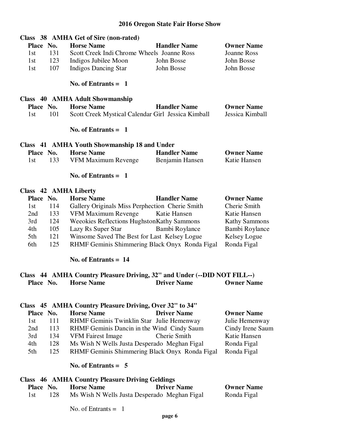|           |                                                                          | Class 38 AMHA Get of Sire (non-rated)              |                     |                      |  |
|-----------|--------------------------------------------------------------------------|----------------------------------------------------|---------------------|----------------------|--|
| Place No. |                                                                          | <b>Horse Name</b>                                  | <b>Handler Name</b> | <b>Owner Name</b>    |  |
| 1st       | 131                                                                      | Scott Creek Indi Chrome Wheels Joanne Ross         |                     | <b>Joanne Ross</b>   |  |
| 1st       | 123                                                                      | Indigos Jubilee Moon                               | John Bosse          | John Bosse           |  |
| 1st       | 107                                                                      | <b>Indigos Dancing Star</b>                        | John Bosse          | John Bosse           |  |
|           |                                                                          | No. of Entrants $=$ 1                              |                     |                      |  |
|           |                                                                          | Class 40 AMHA Adult Showmanship                    |                     |                      |  |
| Place No. |                                                                          | <b>Horse Name</b>                                  | <b>Handler Name</b> | <b>Owner Name</b>    |  |
| 1st       | 101                                                                      | Scott Creek Mystical Calendar Girl Jessica Kimball |                     | Jessica Kimball      |  |
|           |                                                                          | No. of Entrants $= 1$                              |                     |                      |  |
|           |                                                                          | Class 41 AMHA Youth Showmanship 18 and Under       |                     |                      |  |
| Place No. |                                                                          | <b>Horse Name</b>                                  | <b>Handler Name</b> | <b>Owner Name</b>    |  |
| 1st       | 133                                                                      | VFM Maximum Revenge                                | Benjamin Hansen     | Katie Hansen         |  |
|           |                                                                          | No. of Entrants $= 1$                              |                     |                      |  |
|           |                                                                          | Class 42 AMHA Liberty                              |                     |                      |  |
| Place No. |                                                                          | <b>Horse Name</b>                                  | <b>Handler Name</b> | <b>Owner Name</b>    |  |
| 1st       | 114                                                                      | Gallery Originals Miss Perphection Cherie Smith    |                     | Cherie Smith         |  |
| 2nd       | 133                                                                      | VFM Maximum Revenge                                | Katie Hansen        | Katie Hansen         |  |
| 3rd       | 124                                                                      | Weeokies Reflections HughstonKathy Sammons         |                     | <b>Kathy Sammons</b> |  |
| 4th       | 105                                                                      | Lazy Rs Super Star                                 | Bambi Roylance      | Bambi Roylance       |  |
| 5th       | 121                                                                      | Winsome Saved The Best for Last Kelsey Logue       |                     | <b>Kelsey Logue</b>  |  |
| 6th       | 125                                                                      | RHMF Geminis Shimmering Black Onyx Ronda Figal     |                     | Ronda Figal          |  |
|           |                                                                          | No. of Entrants $= 14$                             |                     |                      |  |
|           | Class 44 AMHA Country Pleasure Driving, 32" and Under (--DID NOT FILL--) |                                                    |                     |                      |  |
| Place No. |                                                                          | <b>Horse Name</b>                                  | <b>Driver Name</b>  | <b>Owner Name</b>    |  |

# **Class 45 AMHA Country Pleasure Driving, Over 32" to 34"**

| Place No. |     | <b>Horse Name</b>                              | <b>Driver Name</b> | <b>Owner Name</b> |
|-----------|-----|------------------------------------------------|--------------------|-------------------|
| 1st       | 111 | RHMF Geminis Twinklin Star Julie Hemenway      |                    | Julie Hemenway    |
| 2nd       | 113 | RHMF Geminis Dancin in the Wind Cindy Saum     |                    | Cindy Irene Saum  |
| 3rd       | 134 | <b>VFM Fairest Image</b>                       | Cherie Smith       | Katie Hansen      |
| 4th       | 128 | Ms Wish N Wells Justa Desperado Meghan Figal   |                    | Ronda Figal       |
| 5th       | 125 | RHMF Geminis Shimmering Black Onyx Ronda Figal |                    | Ronda Figal       |
|           |     |                                                |                    |                   |

#### **No. of Entrants = 5**

|     |           | <b>Class</b> 46 AMHA Country Pleasure Driving Geldings |                                              |                   |
|-----|-----------|--------------------------------------------------------|----------------------------------------------|-------------------|
|     | Place No. | <b>Horse Name</b>                                      | <b>Driver Name</b>                           | <b>Owner Name</b> |
| 1st | 128       |                                                        | Ms Wish N Wells Justa Desperado Meghan Figal | Ronda Figal       |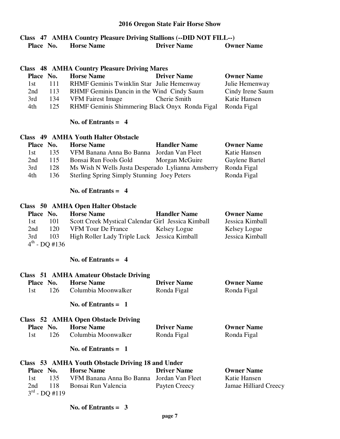#### **Class 47 AMHA Country Pleasure Driving Stallions (--DID NOT FILL--) Place No. Horse Name Driver Name Owner Name**

|           |     | <b>Class</b> 48 AMHA Country Pleasure Driving Mares |                   |
|-----------|-----|-----------------------------------------------------|-------------------|
| Place No. |     | <b>Driver Name</b><br><b>Horse Name</b>             | <b>Owner Name</b> |
| 1st       | 111 | RHMF Geminis Twinklin Star Julie Hemenway           | Julie Hemenway    |
| 2nd       | 113 | RHMF Geminis Dancin in the Wind Cindy Saum          | Cindy Irene Saum  |
| 3rd       | 134 | Cherie Smith<br><b>VFM Fairest Image</b>            | Katie Hansen      |
| 4th       | 125 | RHMF Geminis Shimmering Black Onyx Ronda Figal      | Ronda Figal       |

#### **No. of Entrants = 4**

#### **Class 49 AMHA Youth Halter Obstacle**

| Place No. |     | <b>Horse Name</b>                                  | <b>Handler Name</b> | <b>Owner Name</b> |
|-----------|-----|----------------------------------------------------|---------------------|-------------------|
| 1st.      | 135 | VFM Banana Anna Bo Banna Jordan Van Fleet          |                     | Katie Hansen      |
| 2nd       | 115 | Bonsai Run Fools Gold                              | Morgan McGuire      | Gaylene Bartel    |
| 3rd       | 128 | Ms Wish N Wells Justa Desperado Lylianna Amsberry  |                     | Ronda Figal       |
| 4th       | 136 | <b>Sterling Spring Simply Stunning Joey Peters</b> |                     | Ronda Figal       |

#### **No. of Entrants = 4**

#### **Class 50 AMHA Open Halter Obstacle**

| Place No. |                    | <b>Horse Name</b>                                  | <b>Handler Name</b> | <b>Owner Name</b> |
|-----------|--------------------|----------------------------------------------------|---------------------|-------------------|
| 1st.      | 101                | Scott Creek Mystical Calendar Girl Jessica Kimball |                     | Jessica Kimball   |
| 2nd       | 120                | VFM Tour De France                                 | Kelsey Logue        | Kelsey Logue      |
| 3rd       | 103                | High Roller Lady Triple Luck Jessica Kimball       |                     | Jessica Kimball   |
|           | $4^{th}$ - DO #136 |                                                    |                     |                   |

#### **No. of Entrants = 4**

# **Class 51 AMHA Amateur Obstacle Driving Place No. Horse Name Driver Name Owner Name**  1st 126 Columbia Moonwalker Ronda Figal Ronda Figal  **No. of Entrants = 1**

# **Class 52 AMHA Open Obstacle Driving**

| Place No. | <b>Horse Name</b>   | <b>Driver Name</b> | <b>Owner Name</b> |
|-----------|---------------------|--------------------|-------------------|
| 126.      | Columbia Moonwalker | Ronda Figal        | Ronda Figal       |

#### **No. of Entrants = 1**

# **Class 53 AMHA Youth Obstacle Driving 18 and Under**

| Place No. |                    | <b>Horse Name</b>                         | <b>Driver Name</b> | <b>Owner Name</b>     |
|-----------|--------------------|-------------------------------------------|--------------------|-----------------------|
| 1st.      | 135                | VFM Banana Anna Bo Banna Jordan Van Fleet |                    | Katie Hansen          |
| 2nd       |                    | 118 Bonsai Run Valencia                   | Payten Creecy      | Jamae Hilliard Creecy |
|           | $3^{rd}$ - DO #119 |                                           |                    |                       |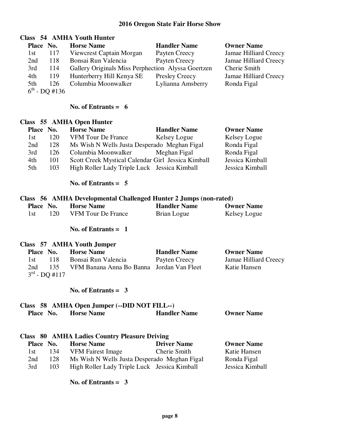# **Class 54 AMHA Youth Hunter**

| Place No. |                           | <b>Horse Name</b>                                  | <b>Handler Name</b>   | <b>Owner Name</b>     |
|-----------|---------------------------|----------------------------------------------------|-----------------------|-----------------------|
| 1st       | 117                       | Viewcrest Captain Morgan                           | Payten Creecy         | Jamae Hilliard Creecy |
| 2nd       | 118                       | Bonsai Run Valencia                                | Payten Creecy         | Jamae Hilliard Creecy |
| 3rd       | 114                       | Gallery Originals Miss Perphection Alyssa Goertzen |                       | Cherie Smith          |
| 4th       | 119                       | Hunterberry Hill Kenya SE                          | <b>Presley Creecy</b> | Jamae Hilliard Creecy |
| 5th       | 126                       | Columbia Moonwalker                                | Lylianna Amsberry     | Ronda Figal           |
|           | $6^{\text{th}}$ - DQ #136 |                                                    |                       |                       |

#### **No. of Entrants = 6**

#### **Class 55 AMHA Open Hunter**

| Place No. |     | <b>Horse Name</b>                                  | <b>Handler Name</b> | <b>Owner Name</b> |
|-----------|-----|----------------------------------------------------|---------------------|-------------------|
| 1st       | 120 | <b>VFM Tour De France</b>                          | Kelsey Logue        | Kelsey Logue      |
| 2nd       | 128 | Ms Wish N Wells Justa Desperado Meghan Figal       |                     | Ronda Figal       |
| 3rd       | 126 | Columbia Moonwalker                                | Meghan Figal        | Ronda Figal       |
| 4th       | 101 | Scott Creek Mystical Calendar Girl Jessica Kimball |                     | Jessica Kimball   |
| 5th       | 103 | High Roller Lady Triple Luck Jessica Kimball       |                     | Jessica Kimball   |

## **No. of Entrants = 5**

#### **Class 56 AMHA Developmental Challenged Hunter 2 Jumps (non-rated)**

| Place No. |      | <b>Horse Name</b>         | <b>Handler Name</b> | <b>Owner Name</b> |
|-----------|------|---------------------------|---------------------|-------------------|
|           | 120. | <b>VFM Tour De France</b> | Brian Logue         | Kelsey Logue      |

#### **No. of Entrants = 1**

#### **Class 57 AMHA Youth Jumper**

|      | Place No.          | <b>Horse Name</b>                         | <b>Handler Name</b> | <b>Owner Name</b>     |
|------|--------------------|-------------------------------------------|---------------------|-----------------------|
| 1st. | -118               | Bonsai Run Valencia                       | Payten Creecy       | Jamae Hilliard Creecy |
| 2nd  | -135-              | VFM Banana Anna Bo Banna Jordan Van Fleet |                     | Katie Hansen          |
|      | $3^{rd}$ - DO #117 |                                           |                     |                       |

#### **No. of Entrants = 3**

# **Class 58 AMHA Open Jumper (--DID NOT FILL--)**

| Place No. | <b>Horse Name</b> | <b>Handler Name</b> | <b>Owner Name</b> |
|-----------|-------------------|---------------------|-------------------|
|           |                   |                     |                   |

|           | Class 80 AMHA Ladies Country Pleasure Driving |                                              |                    |                   |  |
|-----------|-----------------------------------------------|----------------------------------------------|--------------------|-------------------|--|
| Place No. |                                               | <b>Horse Name</b>                            | <b>Driver Name</b> | <b>Owner Name</b> |  |
| 1st -     | 134                                           | <b>VFM Fairest Image</b>                     | Cherie Smith       | Katie Hansen      |  |
| 2nd       | 128                                           | Ms Wish N Wells Justa Desperado Meghan Figal |                    | Ronda Figal       |  |
| 3rd       | 103                                           | High Roller Lady Triple Luck Jessica Kimball |                    | Jessica Kimball   |  |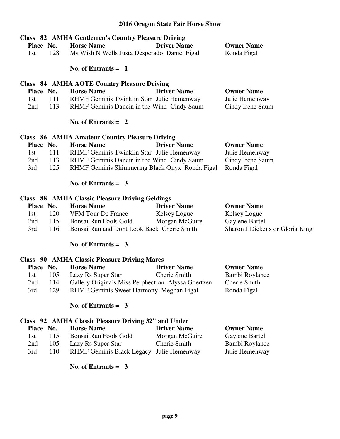| Place No.<br>128<br>1st | <b>Class</b> 82 AMHA Gentlemen's Country Pleasure Driving<br><b>Horse Name</b><br>Ms Wish N Wells Justa Desperado Daniel Figal | <b>Driver Name</b> | <b>Owner Name</b><br>Ronda Figal |
|-------------------------|--------------------------------------------------------------------------------------------------------------------------------|--------------------|----------------------------------|
|                         | No. of Entrants $= 1$                                                                                                          |                    |                                  |
|                         | Class 84 AMHA AOTE Country Pleasure Driving                                                                                    |                    |                                  |
| Place No.               | <b>Horse Name</b>                                                                                                              | <b>Driver Name</b> | <b>Owner Name</b>                |
| 1st<br>111              | RHMF Geminis Twinklin Star Julie Hemenway                                                                                      |                    | Julie Hemenway                   |
| 2nd<br>113              | RHMF Geminis Dancin in the Wind Cindy Saum                                                                                     |                    | Cindy Irene Saum                 |
|                         | No. of Entrants $= 2$<br><b>Class 86 AMHA Amateur Country Pleasure Driving</b>                                                 |                    |                                  |
| Place No.               | <b>Horse Name</b>                                                                                                              | <b>Driver Name</b> | <b>Owner Name</b>                |
| 1st<br>111              | RHMF Geminis Twinklin Star Julie Hemenway                                                                                      |                    | Julie Hemenway                   |
| 2nd<br>113              | RHMF Geminis Dancin in the Wind Cindy Saum                                                                                     |                    | Cindy Irene Saum                 |
| 125<br>3rd              | RHMF Geminis Shimmering Black Onyx Ronda Figal                                                                                 |                    | Ronda Figal                      |
|                         |                                                                                                                                |                    |                                  |
|                         | No. of Entrants $=$ 3                                                                                                          |                    |                                  |
|                         | <b>Class 88 AMHA Classic Pleasure Driving Geldings</b>                                                                         |                    |                                  |
| Place No.               | <b>Horse Name</b>                                                                                                              | <b>Driver Name</b> | <b>Owner Name</b>                |

1st 120 VFM Tour De France Kelsey Logue Kelsey Logue<br>
2nd 115 Bonsai Run Fools Gold Morgan McGuire Gaylene Barte 2nd 115 Bonsai Run Fools Gold Morgan McGuire Gaylene Bartel 3rd 116 Bonsai Run and Dont Look Back Cherie Smith Sharon J Dickens or Gloria King

#### **No. of Entrants = 3**

#### **Class 90 AMHA Classic Pleasure Driving Mares Place No. Horse Name Driver Name Owner Name**  1st 105 Lazy Rs Super Star Cherie Smith Bambi Roylance 2nd 114 Gallery Originals Miss Perphection Alyssa Goertzen Cherie Smith 3rd 129 RHMF Geminis Sweet Harmony Meghan Figal Ronda Figal

#### **No. of Entrants = 3**

#### **Class 92 AMHA Classic Pleasure Driving 32" and Under**

|      | Place No. | <b>Horse Name</b>                        | <b>Driver Name</b> | <b>Owner Name</b> |
|------|-----------|------------------------------------------|--------------------|-------------------|
| 1st. | 115       | Bonsai Run Fools Gold                    | Morgan McGuire     | Gaylene Bartel    |
| 2nd  | 105       | Lazy Rs Super Star                       | Cherie Smith       | Bambi Roylance    |
| 3rd  | 110       | RHMF Geminis Black Legacy Julie Hemenway |                    | Julie Hemenway    |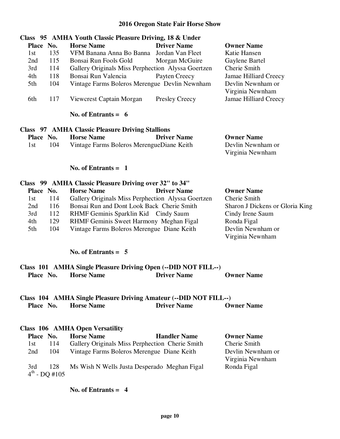# **Class 95 AMHA Youth Classic Pleasure Driving, 18 & Under Place No. Horse Name Driver Name Owner Name**  1st 135 VFM Banana Anna Bo Banna Jordan Van Fleet Katie Hansen 2nd 115 Bonsai Run Fools Gold Morgan McGuire Gaylene Bartel 3rd 114 Gallery Originals Miss Perphection Alyssa Goertzen Cherie Smith 4th 118 Bonsai Run Valencia Payten Creecy Jamae Hilliard Creecy 5th 104 Vintage Farms Boleros Merengue Devlin Newnham Devlin Newnham or Virginia Newnham 6th 117 Viewcrest Captain Morgan Presley Creecy Jamae Hilliard Creecy

#### **No. of Entrants = 6**

#### **Class 97 AMHA Classic Pleasure Driving Stallions Place No. Horse Name Driver Name Owner Name**  1st 104 Vintage Farms Boleros MerengueDiane Keith Devlin Newnham or Virginia Newnham

#### **No. of Entrants = 1**

#### **Class 99 AMHA Classic Pleasure Driving over 32" to 34" Place No. Horse Name Driver Name Owner Name**  1st 114 Gallery Originals Miss Perphection Alyssa Goertzen Cherie Smith 2nd 116 Bonsai Run and Dont Look Back Cherie Smith Sharon J Dickens or Gloria King 3rd 112 RHMF Geminis Sparklin Kid Cindy Saum Cindy Irene Saum 4th 129 RHMF Geminis Sweet Harmony Meghan Figal Ronda Figal 5th 104 Vintage Farms Boleros Merengue Diane Keith Devlin Newnham or Virginia Newnham

#### **No. of Entrants = 5**

# **Class 101 AMHA Single Pleasure Driving Open (--DID NOT FILL--) Place No. Horse Name Driver Name Owner Name**

### **Class 104 AMHA Single Pleasure Driving Amateur (--DID NOT FILL--) Place No. Horse Name Driver Name Owner Name**

#### **Class 106 AMHA Open Versatility**

| Place No. |                           | <b>Horse Name</b>                               | <b>Handler Name</b> | <b>Owner Name</b> |
|-----------|---------------------------|-------------------------------------------------|---------------------|-------------------|
| 1st       | 114                       | Gallery Originals Miss Perphection Cherie Smith |                     | Cherie Smith      |
| 2nd       | -104                      | Vintage Farms Boleros Merengue Diane Keith      |                     | Devlin Newnham or |
|           |                           |                                                 |                     | Virginia Newnham  |
| 3rd       | 128                       | Ms Wish N Wells Justa Desperado Meghan Figal    |                     | Ronda Figal       |
|           | $4^{\text{th}}$ - DQ #105 |                                                 |                     |                   |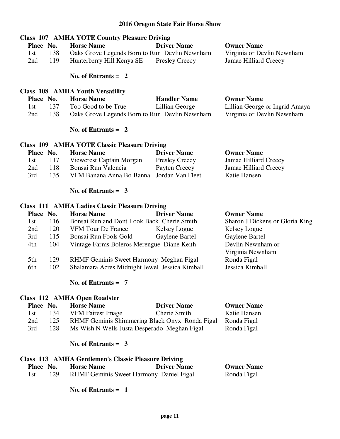# **Class 107 AMHA YOTE Country Pleasure Driving Place No. Horse Name Driver Name Driver Name Owner Name**<br>1st 138 Oaks Grove Legends Born to Run Devlin Newnham Virginia or Devlin Newnham 1st 138 Oaks Grove Legends Born to Run Devlin Newnham 2nd 119 Hunterberry Hill Kenya SE Presley Creecy Jamae Hilliard Creecy  **No. of Entrants = 2 Class 108 AMHA Youth Versatility Place No. Horse Name Handler Name Owner Name**  1st 137 Too Good to be True Lillian George Lillian George or Ingrid Amaya 2nd 138 Oaks Grove Legends Born to Run Devlin Newnham Virginia or Devlin Newnham  **No. of Entrants = 2 Class 109 AMHA YOTE Classic Pleasure Driving Place No. Horse Name Driver Name Owner Name**  1st 117 Viewcrest Captain Morgan Presley Creecy Jamae Hilliard Creecy 2nd 118 Bonsai Run Valencia Payten Creecy Jamae Hilliard Creecy 3rd 135 VFM Banana Anna Bo Banna Jordan Van Fleet Katie Hansen  **No. of Entrants = 3 Class 111 AMHA Ladies Classic Pleasure Driving**

| Place No. |     | <b>Horse Name</b>                              | <b>Driver Name</b> | <b>Owner Name</b>               |
|-----------|-----|------------------------------------------------|--------------------|---------------------------------|
| 1st       | 116 | Bonsai Run and Dont Look Back Cherie Smith     |                    | Sharon J Dickens or Gloria King |
| 2nd       | 120 | <b>VFM Tour De France</b>                      | Kelsey Logue       | Kelsey Logue                    |
| 3rd       | 115 | Bonsai Run Fools Gold                          | Gaylene Bartel     | Gaylene Bartel                  |
| 4th       | 104 | Vintage Farms Boleros Merengue Diane Keith     |                    | Devlin Newnham or               |
|           |     |                                                |                    | Virginia Newnham                |
| 5th       | 129 | RHMF Geminis Sweet Harmony Meghan Figal        |                    | Ronda Figal                     |
| 6th       | 102 | Shalamara Acres Midnight Jewel Jessica Kimball |                    | Jessica Kimball                 |
|           |     |                                                |                    |                                 |

#### **No. of Entrants = 7**

#### **Class 112 AMHA Open Roadster**

| Place No. |     | <b>Horse Name</b>                              | <b>Driver Name</b> | <b>Owner Name</b> |
|-----------|-----|------------------------------------------------|--------------------|-------------------|
| 1st -     | 134 | <b>VFM Fairest Image</b>                       | Cherie Smith       | Katie Hansen      |
| 2nd       | 125 | RHMF Geminis Shimmering Black Onyx Ronda Figal |                    | Ronda Figal       |
| 3rd       | 128 | Ms Wish N Wells Justa Desperado Meghan Figal   |                    | Ronda Figal       |

#### **No. of Entrants = 3**

#### **Class 113 AMHA Gentlemen's Classic Pleasure Driving Place No. Horse Name Driver Name Owner Name**  1st 129 RHMF Geminis Sweet Harmony Daniel Figal Ronda Figal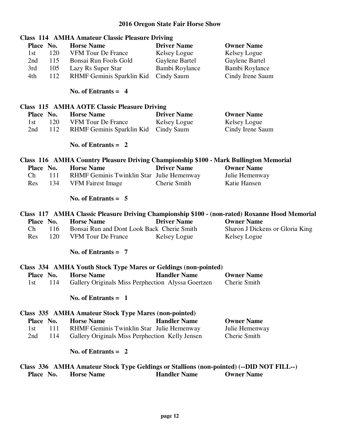|                  | <b>Class 114 AMHA Amateur Classic Pleasure Driving</b>                                                        |                     |                                                                                                |
|------------------|---------------------------------------------------------------------------------------------------------------|---------------------|------------------------------------------------------------------------------------------------|
| Place No.        | <b>Horse Name</b>                                                                                             | <b>Driver Name</b>  | <b>Owner Name</b>                                                                              |
| 1st<br>120       | <b>VFM Tour De France</b>                                                                                     | Kelsey Logue        | Kelsey Logue                                                                                   |
| 2nd<br>115       | Bonsai Run Fools Gold                                                                                         | Gaylene Bartel      | Gaylene Bartel                                                                                 |
| 3rd<br>105       | Lazy Rs Super Star                                                                                            | Bambi Roylance      | Bambi Roylance                                                                                 |
| 112<br>4th       | RHMF Geminis Sparklin Kid                                                                                     | Cindy Saum          | Cindy Irene Saum                                                                               |
|                  |                                                                                                               |                     |                                                                                                |
|                  | No. of Entrants $= 4$                                                                                         |                     |                                                                                                |
|                  | <b>Class 115 AMHA AOTE Classic Pleasure Driving</b>                                                           |                     |                                                                                                |
| Place No.        | <b>Horse Name</b>                                                                                             | <b>Driver Name</b>  | <b>Owner Name</b>                                                                              |
| 120<br>1st       | <b>VFM Tour De France</b>                                                                                     | Kelsey Logue        | Kelsey Logue                                                                                   |
| 112<br>2nd       | RHMF Geminis Sparklin Kid                                                                                     | Cindy Saum          | Cindy Irene Saum                                                                               |
|                  |                                                                                                               |                     |                                                                                                |
|                  | No. of Entrants $= 2$                                                                                         |                     |                                                                                                |
|                  | Class 116 AMHA Country Pleasure Driving Championship \$100 - Mark Bullington Memorial                         |                     |                                                                                                |
| Place No.        | <b>Horse Name</b>                                                                                             | <b>Driver Name</b>  | <b>Owner Name</b>                                                                              |
| Ch<br>111        | RHMF Geminis Twinklin Star Julie Hemenway                                                                     |                     | Julie Hemenway                                                                                 |
| 134<br>Res       | <b>VFM Fairest Image</b>                                                                                      | Cherie Smith        | Katie Hansen                                                                                   |
|                  |                                                                                                               |                     |                                                                                                |
|                  | No. of Entrants $= 5$                                                                                         |                     |                                                                                                |
|                  |                                                                                                               |                     |                                                                                                |
|                  |                                                                                                               |                     |                                                                                                |
|                  |                                                                                                               |                     | Class 117 AMHA Classic Pleasure Driving Championship \$100 - (non-rated) Roxanne Hood Memorial |
| Place No.        | <b>Horse Name</b>                                                                                             | <b>Driver Name</b>  | <b>Owner Name</b>                                                                              |
| Ch<br>116        | Bonsai Run and Dont Look Back Cherie Smith                                                                    |                     | Sharon J Dickens or Gloria King                                                                |
| 120<br>Res       | <b>VFM Tour De France</b>                                                                                     | Kelsey Logue        | Kelsey Logue                                                                                   |
|                  | No. of Entrants $= 7$                                                                                         |                     |                                                                                                |
|                  |                                                                                                               |                     |                                                                                                |
| Place No.        | Class 334 AMHA Youth Stock Type Mares or Geldings (non-pointed)                                               |                     |                                                                                                |
| 1st              | <b>Horse Name</b>                                                                                             | <b>Handler Name</b> | <b>Owner Name</b>                                                                              |
| 114              | Gallery Originals Miss Perphection Alyssa Goertzen                                                            |                     | Cherie Smith                                                                                   |
|                  | No. of Entrants $= 1$                                                                                         |                     |                                                                                                |
|                  | Class 335 AMHA Amateur Stock Type Mares (non-pointed)                                                         |                     |                                                                                                |
|                  | <b>Horse Name</b>                                                                                             | <b>Handler Name</b> | <b>Owner Name</b>                                                                              |
| Place No.<br>111 |                                                                                                               |                     |                                                                                                |
| 1st              | RHMF Geminis Twinklin Star Julie Hemenway                                                                     |                     | Julie Hemenway                                                                                 |
| 2nd<br>114       | Gallery Originals Miss Perphection Kelly Jensen                                                               |                     | Cherie Smith                                                                                   |
|                  | No. of Entrants $= 2$                                                                                         |                     |                                                                                                |
| Place No.        | Class 336 AMHA Amateur Stock Type Geldings or Stallions (non-pointed) (--DID NOT FILL--)<br><b>Horse Name</b> | <b>Handler Name</b> | <b>Owner Name</b>                                                                              |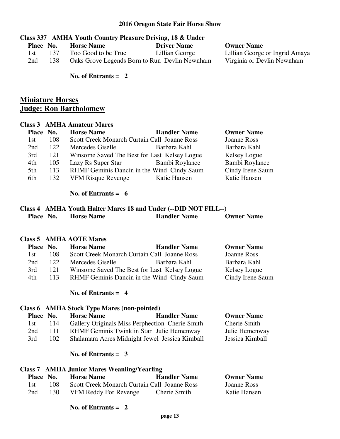#### **Class 337 AMHA Youth Country Pleasure Driving, 18 & Under**

| Place No. |     | <b>Horse Name</b>   | <b>Driver Name</b>                            |
|-----------|-----|---------------------|-----------------------------------------------|
| -l st     | 137 | Too Good to be True | Lillian George                                |
| 2nd       | 138 |                     | Oaks Grove Legends Born to Run Devlin Newnham |

**Owner Name** 

Lillian George or Ingrid Amaya Virginia or Devlin Newnham

 **No. of Entrants = 2** 

# **Miniature Horses Judge: Ron Bartholomew**

#### **Class 3 AMHA Amateur Mares**

| Place No. |     | <b>Horse Name</b>                            | <b>Handler Name</b> | <b>Owner Name</b> |
|-----------|-----|----------------------------------------------|---------------------|-------------------|
| 1st       | 108 | Scott Creek Monarch Curtain Call Joanne Ross |                     | Joanne Ross       |
| 2nd       | 122 | Mercedes Giselle                             | Barbara Kahl        | Barbara Kahl      |
| 3rd       | 121 | Winsome Saved The Best for Last Kelsey Logue |                     | Kelsey Logue      |
| 4th       | 105 | Lazy Rs Super Star                           | Bambi Roylance      | Bambi Roylance    |
| 5th       | 113 | RHMF Geminis Dancin in the Wind Cindy Saum   |                     | Cindy Irene Saum  |
| 6th       | 132 | <b>VFM Risque Revenge</b>                    | Katie Hansen        | Katie Hansen      |
|           |     |                                              |                     |                   |

#### **No. of Entrants = 6**

#### **Class 4 AMHA Youth Halter Mares 18 and Under (--DID NOT FILL--) Place No. Horse Name Handler Name Owner Name**

#### **Class 5 AMHA AOTE Mares**

| Place No. |     | <b>Horse Name</b> | <b>Handler Name</b>                          | <b>Owner Name</b> |
|-----------|-----|-------------------|----------------------------------------------|-------------------|
| 1st       | 108 |                   | Scott Creek Monarch Curtain Call Joanne Ross | Joanne Ross       |
| 2nd       | 122 | Mercedes Giselle  | Barbara Kahl                                 | Barbara Kahl      |
| 3rd       | 121 |                   | Winsome Saved The Best for Last Kelsey Logue | Kelsey Logue      |
| 4th       | 113 |                   | RHMF Geminis Dancin in the Wind Cindy Saum   | Cindy Irene Saum  |
|           |     |                   |                                              |                   |

#### **No. of Entrants = 4**

# **Class 6 AMHA Stock Type Mares (non-pointed) Place No. Horse Name Handler Name Owner Name**  1st 114 Gallery Originals Miss Perphection Cherie Smith Cherie Smith 2nd 111 RHMF Geminis Twinklin Star Julie Hemenway Julie Hemenway 3rd 102 Shalamara Acres Midnight Jewel Jessica Kimball Jessica Kimball

#### **No. of Entrants = 3**

#### **Class 7 AMHA Junior Mares Weanling/Yearling**

|      | Place No. | <b>Horse Name</b>                            | <b>Handler Name</b> | <b>Owner Name</b> |
|------|-----------|----------------------------------------------|---------------------|-------------------|
| 1st. | 108       | Scott Creek Monarch Curtain Call Joanne Ross |                     | Joanne Ross       |
| 2nd  | 130.      | VFM Reddy For Revenge                        | Cherie Smith        | Katie Hansen      |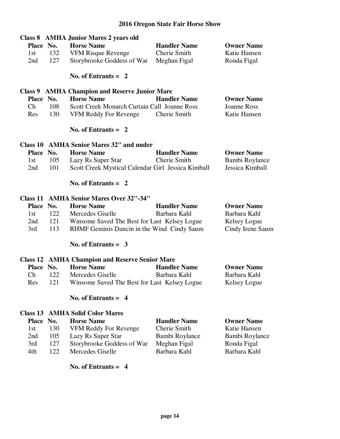|                                 |            | <b>Class 8 AMHA Junior Mares 2 years old</b>          |                              |                             |
|---------------------------------|------------|-------------------------------------------------------|------------------------------|-----------------------------|
| Place No.                       |            | <b>Horse Name</b>                                     | <b>Handler Name</b>          | <b>Owner Name</b>           |
| 1st                             | 132        | <b>VFM Risque Revenge</b>                             | Cherie Smith                 | Katie Hansen                |
| 2nd                             | 127        | Storybrooke Goddess of War                            | Meghan Figal                 | Ronda Figal                 |
|                                 |            | No. of Entrants $= 2$                                 |                              |                             |
|                                 |            | <b>Class 9 AMHA Champion and Reserve Junior Mare</b>  |                              |                             |
| Place No.                       |            | <b>Horse Name</b>                                     | <b>Handler Name</b>          | <b>Owner Name</b>           |
| Ch                              | 108        | Scott Creek Monarch Curtain Call Joanne Ross          |                              | <b>Joanne Ross</b>          |
| Res                             | 130        | VFM Reddy For Revenge                                 | Cherie Smith                 | Katie Hansen                |
|                                 |            | No. of Entrants $= 2$                                 |                              |                             |
|                                 |            | Class 10 AMHA Senior Mares 32" and under              |                              |                             |
| Place No.                       |            | <b>Horse Name</b>                                     | <b>Handler Name</b>          | <b>Owner Name</b>           |
| 1st                             | 105        | Lazy Rs Super Star                                    | Cherie Smith                 | Bambi Roylance              |
| 2nd                             | 101        | Scott Creek Mystical Calendar Girl Jessica Kimball    |                              | Jessica Kimball             |
|                                 |            | No. of Entrants $= 2$                                 |                              |                             |
|                                 |            | <b>Class 11 AMHA Senior Mares Over 32"-34"</b>        |                              |                             |
|                                 |            |                                                       |                              |                             |
| Place No.                       |            | <b>Horse Name</b>                                     | <b>Handler Name</b>          | <b>Owner Name</b>           |
| 1st                             | 122        | Mercedes Giselle                                      | Barbara Kahl                 | Barbara Kahl                |
| 2nd                             | 121        | Winsome Saved The Best for Last Kelsey Logue          |                              | Kelsey Logue                |
| 3rd                             | 113        | RHMF Geminis Dancin in the Wind Cindy Saum            |                              | Cindy Irene Saum            |
|                                 |            | No. of Entrants = $3$                                 |                              |                             |
|                                 |            | <b>Class 12 AMHA Champion and Reserve Senior Mare</b> |                              |                             |
| Place No.                       |            | <b>Horse Name</b>                                     | <b>Handler Name</b>          | <b>Owner Name</b>           |
| $\mathop{\mathrm{Ch}}\nolimits$ | 122        | Mercedes Giselle                                      | Barbara Kahl                 | Barbara Kahl                |
| Res                             | 121        | Winsome Saved The Best for Last Kelsey Logue          |                              | Kelsey Logue                |
|                                 |            | No. of Entrants $= 4$                                 |                              |                             |
| Class 13                        |            | <b>AMHA Solid Color Mares</b>                         |                              |                             |
| <b>Place</b>                    | No.        | <b>Horse Name</b>                                     | <b>Handler Name</b>          | <b>Owner Name</b>           |
| 1st                             | 130        | VFM Reddy For Revenge                                 | Cherie Smith                 | Katie Hansen                |
| 2nd                             | 105        | Lazy Rs Super Star                                    | Bambi Roylance               | Bambi Roylance              |
| 3rd<br>4th                      | 127<br>122 | Storybrooke Goddess of War<br>Mercedes Giselle        | Meghan Figal<br>Barbara Kahl | Ronda Figal<br>Barbara Kahl |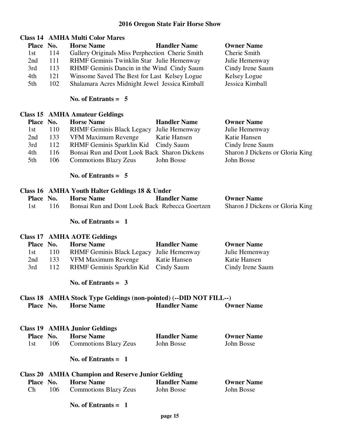# **Class 14 AMHA Multi Color Mares**

| Place No. |     | <b>Horse Name</b>                               | <b>Handler Name</b> | <b>Owner Name</b> |
|-----------|-----|-------------------------------------------------|---------------------|-------------------|
| 1st       | 114 | Gallery Originals Miss Perphection Cherie Smith |                     | Cherie Smith      |
| 2nd       | 111 | RHMF Geminis Twinklin Star Julie Hemenway       |                     | Julie Hemenway    |
| 3rd       | 113 | RHMF Geminis Dancin in the Wind Cindy Saum      |                     | Cindy Irene Saum  |
| 4th       | 121 | Winsome Saved The Best for Last Kelsey Logue    |                     | Kelsey Logue      |
| 5th       | 102 | Shalamara Acres Midnight Jewel Jessica Kimball  |                     | Jessica Kimball   |

#### **No. of Entrants = 5**

#### **Class 15 AMHA Amateur Geldings**

|     | Place No. | <b>Horse Name</b>                            | <b>Handler Name</b> | <b>Owner Name</b>               |
|-----|-----------|----------------------------------------------|---------------------|---------------------------------|
| 1st | 110       | RHMF Geminis Black Legacy Julie Hemenway     |                     | Julie Hemenway                  |
| 2nd | 133       | VFM Maximum Revenge                          | Katie Hansen        | Katie Hansen                    |
| 3rd | 112       | RHMF Geminis Sparklin Kid Cindy Saum         |                     | Cindy Irene Saum                |
| 4th | 116       | Bonsai Run and Dont Look Back Sharon Dickens |                     | Sharon J Dickens or Gloria King |
| 5th | 106       | <b>Commotions Blazy Zeus</b>                 | John Bosse          | John Bosse                      |

 **No. of Entrants = 5** 

 **No. of Entrants = 1** 

#### **Class 16 AMHA Youth Halter Geldings 18 & Under Place No. Horse Name Handler Name Owner Name** 1st 116 Bonsai Run and Dont Look Back Rebecca Goertzen Sharon J Dickens or Gloria King

|           |     | <b>Class 17 AMHA AOTE Geldings</b>       |                     |                   |
|-----------|-----|------------------------------------------|---------------------|-------------------|
| Place No. |     | <b>Horse Name</b>                        | <b>Handler Name</b> | <b>Owner Name</b> |
| 1st       | 110 | RHMF Geminis Black Legacy Julie Hemenway |                     | Julie Hemenway    |
| 2nd       | 133 | VFM Maximum Revenge                      | Katie Hansen        | Katie Hansen      |
| 3rd       | 112 | RHMF Geminis Sparklin Kid Cindy Saum     |                     | Cindy Irene Saum  |

 **No. of Entrants = 3** 

# **Class 18 AMHA Stock Type Geldings (non-pointed) (--DID NOT FILL--)**

|                  | $\mathcal{L}_{\text{RMS}}$ to the finite state $\mathbf{r}_{j}$ pc deterings (non-pointex) ( $\mathbf{BID}$ from Finite |                                                          |                     |                   |
|------------------|-------------------------------------------------------------------------------------------------------------------------|----------------------------------------------------------|---------------------|-------------------|
| <b>Place No.</b> |                                                                                                                         | <b>Horse Name</b>                                        | <b>Handler Name</b> | <b>Owner Name</b> |
|                  |                                                                                                                         | <b>Class 19 AMHA Junior Geldings</b>                     |                     |                   |
| Place No.        |                                                                                                                         | <b>Horse Name</b>                                        | <b>Handler Name</b> | <b>Owner Name</b> |
| 1st              | 106                                                                                                                     | <b>Commotions Blazy Zeus</b>                             | John Bosse          | John Bosse        |
|                  |                                                                                                                         | No. of Entrants $=$ 1                                    |                     |                   |
|                  |                                                                                                                         | <b>Class 20 AMHA Champion and Reserve Junior Gelding</b> |                     |                   |
| <b>Place No.</b> |                                                                                                                         | <b>Horse Name</b>                                        | <b>Handler Name</b> | <b>Owner Name</b> |
| Ch               | 106                                                                                                                     | <b>Commotions Blazy Zeus</b>                             | John Bosse          | John Bosse        |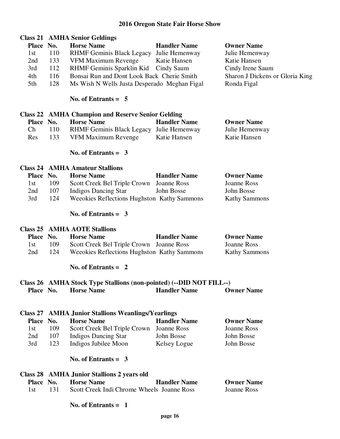| Place No. | <b>Horse Name</b>         | <b>Handler Name</b>                  | <b>Owner Name</b>                                                                                                                            |
|-----------|---------------------------|--------------------------------------|----------------------------------------------------------------------------------------------------------------------------------------------|
| 110       |                           | Julie Hemenway                       | Julie Hemenway                                                                                                                               |
| 133       | VFM Maximum Revenge       | Katie Hansen                         | Katie Hansen                                                                                                                                 |
| 112       | RHMF Geminis Sparklin Kid |                                      | Cindy Irene Saum                                                                                                                             |
| 116       |                           |                                      | Sharon J Dickens or Gloria King                                                                                                              |
| 128       |                           |                                      | Ronda Figal                                                                                                                                  |
|           |                           | <b>Class 21 AMHA Senior Geldings</b> | <b>RHMF Geminis Black Legacy</b><br>Cindy Saum<br>Bonsai Run and Dont Look Back Cherie Smith<br>Ms Wish N Wells Justa Desperado Meghan Figal |

#### **No. of Entrants = 5**

|           | <b>Class 22 AMHA Champion and Reserve Senior Gelding</b> |                                          |                     |                   |
|-----------|----------------------------------------------------------|------------------------------------------|---------------------|-------------------|
| Place No. |                                                          | <b>Horse Name</b>                        | <b>Handler Name</b> | <b>Owner Name</b> |
| Ch.       | 110                                                      | RHMF Geminis Black Legacy Julie Hemenway |                     | Julie Hemenway    |
| Res       | 133                                                      | VFM Maximum Revenge                      | Katie Hansen        | Katie Hansen      |

#### **No. of Entrants = 3**

#### **Class 24 AMHA Amateur Stallions**

| Place No. |     | <b>Horse Name</b>                           | <b>Handler Name</b> | <b>Owner Name</b>    |
|-----------|-----|---------------------------------------------|---------------------|----------------------|
| 1st       | 109 | Scott Creek Bel Triple Crown Joanne Ross    |                     | Joanne Ross          |
| 2nd       | 107 | Indigos Dancing Star                        | John Bosse          | John Bosse           |
| 3rd       | 124 | Weeokies Reflections Hughston Kathy Sammons |                     | <b>Kathy Sammons</b> |

#### **No. of Entrants = 3**

#### **Class 25 AMHA AOTE Stallions**

| Place No. |     | <b>Horse Name</b>                           | <b>Handler Name</b> | <b>Owner Name</b>    |
|-----------|-----|---------------------------------------------|---------------------|----------------------|
| 1st.      | 109 | Scott Creek Bel Triple Crown Joanne Ross    |                     | Joanne Ross          |
| 2nd       | 124 | Weeokies Reflections Hughston Kathy Sammons |                     | <b>Kathy Sammons</b> |

#### **No. of Entrants = 2**

# **Class 26 AMHA Stock Type Stallions (non-pointed) (--DID NOT FILL--) Place No. Horse Name Bandler Name Bandler Name Cowner Name**

#### **Class 27 AMHA Junior Stallions Weanlings/Yearlings**

| Place No. |     | <b>Horse Name</b>                        | <b>Handler Name</b> | <b>Owner Name</b> |
|-----------|-----|------------------------------------------|---------------------|-------------------|
| 1st.      | 109 | Scott Creek Bel Triple Crown Joanne Ross |                     | Joanne Ross       |
| 2nd       | 107 | Indigos Dancing Star                     | John Bosse          | John Bosse        |
| 3rd       | 123 | Indigos Jubilee Moon                     | Kelsey Logue        | John Bosse        |

#### **No. of Entrants = 3**

|           |     | Class 28 AMHA Junior Stallions 2 years old |                     |                   |
|-----------|-----|--------------------------------------------|---------------------|-------------------|
| Place No. |     | <b>Horse Name</b>                          | <b>Handler Name</b> | <b>Owner Name</b> |
|           | 131 | Scott Creek Indi Chrome Wheels Joanne Ross |                     | Joanne Ross       |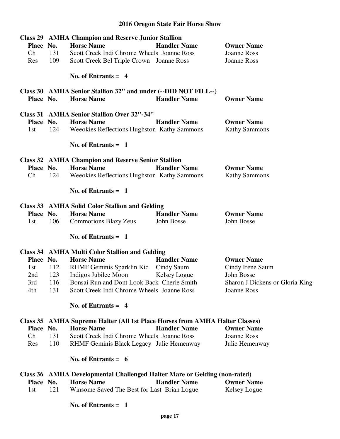|           |     | <b>Class 29 AMHA Champion and Reserve Junior Stallion</b>                           |                     |                                 |
|-----------|-----|-------------------------------------------------------------------------------------|---------------------|---------------------------------|
| Place No. |     | <b>Horse Name</b>                                                                   | <b>Handler Name</b> | <b>Owner Name</b>               |
| Ch        | 131 | Scott Creek Indi Chrome Wheels Joanne Ross                                          |                     | <b>Joanne Ross</b>              |
| Res       | 109 | Scott Creek Bel Triple Crown Joanne Ross                                            |                     | Joanne Ross                     |
|           |     | No. of Entrants $= 4$                                                               |                     |                                 |
| Place No. |     | Class 30 AMHA Senior Stallion 32" and under (--DID NOT FILL--)<br><b>Horse Name</b> | <b>Handler Name</b> | <b>Owner Name</b>               |
|           |     |                                                                                     |                     |                                 |
|           |     | <b>Class 31 AMHA Senior Stallion Over 32"-34"</b>                                   |                     |                                 |
| Place No. |     | <b>Horse Name</b>                                                                   | <b>Handler Name</b> | <b>Owner Name</b>               |
| 1st       | 124 | Weeokies Reflections Hughston Kathy Sammons                                         |                     | <b>Kathy Sammons</b>            |
|           |     | No. of Entrants $= 1$                                                               |                     |                                 |
|           |     | <b>Class 32 AMHA Champion and Reserve Senior Stallion</b>                           |                     |                                 |
| Place No. |     | <b>Horse Name</b>                                                                   | <b>Handler Name</b> | <b>Owner Name</b>               |
| Ch        | 124 | Weeokies Reflections Hughston Kathy Sammons                                         |                     | <b>Kathy Sammons</b>            |
|           |     | No. of Entrants $= 1$                                                               |                     |                                 |
|           |     | <b>Class 33 AMHA Solid Color Stallion and Gelding</b>                               |                     |                                 |
| Place No. |     | <b>Horse Name</b>                                                                   | <b>Handler Name</b> | <b>Owner Name</b>               |
| 1st       | 106 | <b>Commotions Blazy Zeus</b>                                                        | John Bosse          | John Bosse                      |
|           |     | No. of Entrants $= 1$                                                               |                     |                                 |
|           |     |                                                                                     |                     |                                 |
|           |     | <b>Class 34 AMHA Multi Color Stallion and Gelding</b>                               |                     |                                 |
| Place No. |     | <b>Horse Name</b>                                                                   | <b>Handler Name</b> | <b>Owner Name</b>               |
| 1st       | 112 | RHMF Geminis Sparklin Kid Cindy Saum                                                |                     | Cindy Irene Saum                |
| 2nd       | 123 | Indigos Jubilee Moon                                                                | Kelsey Logue        | John Bosse                      |
| 3rd       | 116 | Bonsai Run and Dont Look Back Cherie Smith                                          |                     | Sharon J Dickens or Gloria King |
| 4th       | 131 | Scott Creek Indi Chrome Wheels Joanne Ross                                          |                     | Joanne Ross                     |
|           |     | No. of Entrants $= 4$                                                               |                     |                                 |
|           |     | Class 35 AMHA Supreme Halter (All 1st Place Horses from AMHA Halter Classes)        |                     |                                 |
| Place No. |     | <b>Horse Name</b>                                                                   | <b>Handler Name</b> | <b>Owner Name</b>               |
| Ch        | 131 | Scott Creek Indi Chrome Wheels Joanne Ross                                          |                     | <b>Joanne Ross</b>              |
| Res       | 110 | RHMF Geminis Black Legacy Julie Hemenway                                            |                     | Julie Hemenway                  |
|           |     | No. of Entrants = $6$                                                               |                     |                                 |
|           |     | Class 36 AMHA Developmental Challenged Halter Mare or Gelding (non-rated)           |                     |                                 |
| Place No. |     | <b>Horse Name</b>                                                                   | <b>Handler Name</b> | <b>Owner Name</b>               |
| 1st       | 121 | Winsome Saved The Best for Last Brian Logue                                         |                     | Kelsey Logue                    |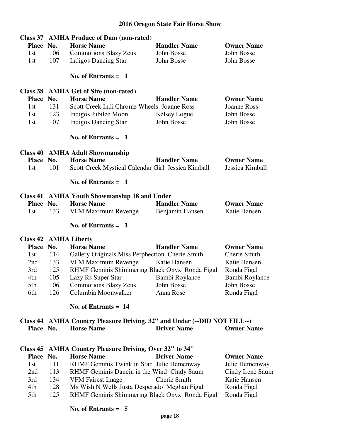| Class 37     |     | <b>AMHA Produce of Dam (non-rated)</b>                                   |                     |                    |
|--------------|-----|--------------------------------------------------------------------------|---------------------|--------------------|
| <b>Place</b> | No. | <b>Horse Name</b>                                                        | <b>Handler Name</b> | <b>Owner Name</b>  |
| 1st          | 106 | <b>Commotions Blazy Zeus</b>                                             | John Bosse          | John Bosse         |
| 1st          | 107 | <b>Indigos Dancing Star</b>                                              | John Bosse          | John Bosse         |
|              |     |                                                                          |                     |                    |
|              |     | No. of Entrants $= 1$                                                    |                     |                    |
| Class 38     |     | <b>AMHA Get of Sire (non-rated)</b>                                      |                     |                    |
| <b>Place</b> | No. | <b>Horse Name</b>                                                        | <b>Handler Name</b> | <b>Owner Name</b>  |
| 1st          | 131 | Scott Creek Indi Chrome Wheels Joanne Ross                               |                     | <b>Joanne Ross</b> |
| 1st          | 123 | Indigos Jubilee Moon                                                     | Kelsey Logue        | John Bosse         |
| 1st          | 107 | <b>Indigos Dancing Star</b>                                              | John Bosse          | John Bosse         |
|              |     | No. of Entrants $= 1$                                                    |                     |                    |
|              |     | <b>Class 40 AMHA Adult Showmanship</b>                                   |                     |                    |
| <b>Place</b> | No. | <b>Horse Name</b>                                                        | <b>Handler Name</b> | <b>Owner Name</b>  |
| 1st          | 101 | Scott Creek Mystical Calendar Girl Jessica Kimball                       |                     | Jessica Kimball    |
|              |     | No. of Entrants $= 1$                                                    |                     |                    |
| Class 41     |     | <b>AMHA Youth Showmanship 18 and Under</b>                               |                     |                    |
| <b>Place</b> | No. | <b>Horse Name</b>                                                        | <b>Handler Name</b> | <b>Owner Name</b>  |
| 1st          | 133 | VFM Maximum Revenge                                                      | Benjamin Hansen     | Katie Hansen       |
|              |     | No. of Entrants $=$ 1                                                    |                     |                    |
|              |     | <b>Class 42 AMHA Liberty</b>                                             |                     |                    |
| Place No.    |     | <b>Horse Name</b>                                                        | <b>Handler Name</b> | <b>Owner Name</b>  |
| 1st          | 114 | Gallery Originals Miss Perphection Cherie Smith                          |                     | Cherie Smith       |
| 2nd          | 133 | VFM Maximum Revenge                                                      | Katie Hansen        | Katie Hansen       |
| 3rd          | 125 | RHMF Geminis Shimmering Black Onyx Ronda Figal                           |                     | Ronda Figal        |
| 4th          | 105 | Lazy Rs Super Star                                                       | Bambi Roylance      | Bambi Roylance     |
| 5th          | 106 | <b>Commotions Blazy Zeus</b>                                             | John Bosse          | John Bosse         |
| 6th          | 126 | Columbia Moonwalker                                                      | Anna Rose           | Ronda Figal        |
|              |     | No. of Entrants $= 14$                                                   |                     |                    |
|              |     | Class 44 AMHA Country Pleasure Driving, 32" and Under (--DID NOT FILL--) |                     |                    |
| Place No.    |     | <b>Horse Name</b>                                                        | <b>Driver Name</b>  | <b>Owner Name</b>  |
| Class 45     |     | <b>AMHA Country Pleasure Driving, Over 32" to 34"</b>                    |                     |                    |
| <b>Place</b> | No. | <b>Horse Name</b>                                                        | <b>Driver Name</b>  | <b>Owner Name</b>  |
| 1st          | 111 | RHMF Geminis Twinklin Star Julie Hemenway                                |                     | Julie Hemenway     |
| 2nd          | 113 | RHMF Geminis Dancin in the Wind Cindy Saum                               |                     | Cindy Irene Saum   |
| 3rd          | 134 | <b>VFM Fairest Image</b>                                                 | Cherie Smith        | Katie Hansen       |
| 4th          | 128 | Ms Wish N Wells Justa Desperado Meghan Figal                             |                     | Ronda Figal        |
| 5th          | 125 | RHMF Geminis Shimmering Black Onyx Ronda Figal                           |                     | Ronda Figal        |
|              |     |                                                                          |                     |                    |
|              |     | No. of Entrants $= 5$                                                    |                     |                    |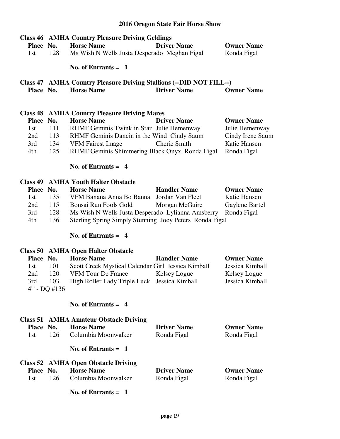| Place No.<br>1st | 128                | <b>Class 46 AMHA Country Pleasure Driving Geldings</b><br><b>Horse Name</b><br>Ms Wish N Wells Justa Desperado Meghan Figal | <b>Driver Name</b>  | <b>Owner Name</b><br>Ronda Figal |
|------------------|--------------------|-----------------------------------------------------------------------------------------------------------------------------|---------------------|----------------------------------|
|                  |                    | No. of Entrants $= 1$                                                                                                       |                     |                                  |
| Place No.        |                    | Class 47 AMHA Country Pleasure Driving Stallions (--DID NOT FILL--)<br><b>Horse Name</b>                                    | <b>Driver Name</b>  | <b>Owner Name</b>                |
|                  |                    | <b>Class 48 AMHA Country Pleasure Driving Mares</b>                                                                         |                     |                                  |
| Place No.        |                    | <b>Horse Name</b>                                                                                                           | <b>Driver Name</b>  | <b>Owner Name</b>                |
| 1st              | 111                | RHMF Geminis Twinklin Star Julie Hemenway                                                                                   |                     | Julie Hemenway                   |
| 2nd              | 113                | RHMF Geminis Dancin in the Wind Cindy Saum                                                                                  |                     | Cindy Irene Saum                 |
| 3rd              | 134                | <b>VFM Fairest Image</b>                                                                                                    | Cherie Smith        | Katie Hansen                     |
| 4th              | 125                | RHMF Geminis Shimmering Black Onyx Ronda Figal                                                                              |                     | Ronda Figal                      |
|                  |                    | No. of Entrants $= 4$                                                                                                       |                     |                                  |
|                  |                    | <b>Class 49 AMHA Youth Halter Obstacle</b>                                                                                  |                     |                                  |
|                  | Place No.          | <b>Horse Name</b>                                                                                                           | <b>Handler Name</b> | <b>Owner Name</b>                |
| 1st              | 135                | VFM Banana Anna Bo Banna                                                                                                    | Jordan Van Fleet    | Katie Hansen                     |
| 2nd              | 115                | Bonsai Run Fools Gold                                                                                                       | Morgan McGuire      | Gaylene Bartel                   |
| 3rd              | 128                | Ms Wish N Wells Justa Desperado Lylianna Amsberry                                                                           |                     | Ronda Figal                      |
| 4th              | 136                | Sterling Spring Simply Stunning Joey Peters Ronda Figal                                                                     |                     |                                  |
|                  |                    | No. of Entrants $= 4$                                                                                                       |                     |                                  |
| Class 50         |                    | <b>AMHA Open Halter Obstacle</b>                                                                                            |                     |                                  |
| Place No.        |                    | <b>Horse Name</b>                                                                                                           | <b>Handler Name</b> | <b>Owner Name</b>                |
| 1st              | 101                | Scott Creek Mystical Calendar Girl Jessica Kimball                                                                          |                     | Jessica Kimball                  |
| 2nd              | 120                | <b>VFM Tour De France</b>                                                                                                   | Kelsey Logue        | Kelsey Logue                     |
| 3rd              | 103                | High Roller Lady Triple Luck Jessica Kimball                                                                                |                     | Jessica Kimball                  |
|                  | $4^{th}$ - DQ #136 |                                                                                                                             |                     |                                  |
|                  |                    | No. of Entrants $= 4$                                                                                                       |                     |                                  |
|                  |                    | <b>Class 51 AMHA Amateur Obstacle Driving</b>                                                                               |                     |                                  |
| <b>Place</b>     | No.                | <b>Horse Name</b>                                                                                                           | <b>Driver Name</b>  | <b>Owner Name</b>                |
| 1st              | 126                | Columbia Moonwalker                                                                                                         | Ronda Figal         | Ronda Figal                      |
|                  |                    | No. of Entrants $= 1$                                                                                                       |                     |                                  |
|                  |                    | <b>Class 52 AMHA Open Obstacle Driving</b>                                                                                  |                     |                                  |
| Place No.        |                    | <b>Horse Name</b>                                                                                                           | <b>Driver Name</b>  | <b>Owner Name</b>                |
| 1st              | 126                | Columbia Moonwalker                                                                                                         | Ronda Figal         | Ronda Figal                      |

 **No. of Entrants = 1**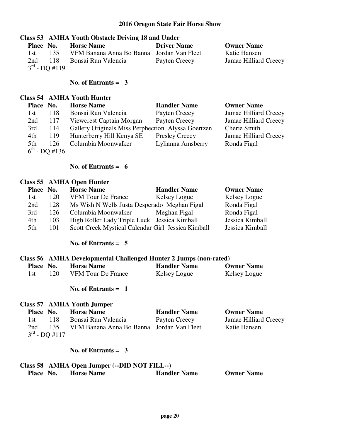#### **Class 53 AMHA Youth Obstacle Driving 18 and Under**

| Place No. |                    | <b>Horse Name</b>                         | <b>Driver Name</b> | <b>Owner Name</b>     |
|-----------|--------------------|-------------------------------------------|--------------------|-----------------------|
| 1 st      | 135                | VFM Banana Anna Bo Banna Jordan Van Fleet |                    | Katie Hansen          |
| 2nd       |                    | 118 Bonsai Run Valencia                   | Payten Creecy      | Jamae Hilliard Creecy |
|           | $3^{rd}$ - DO #119 |                                           |                    |                       |

#### **No. of Entrants = 3**

#### **Class 54 AMHA Youth Hunter**

| Place No. |                           | <b>Horse Name</b>                                  | <b>Handler Name</b>   | <b>Owner Name</b>     |
|-----------|---------------------------|----------------------------------------------------|-----------------------|-----------------------|
| 1st       | 118                       | Bonsai Run Valencia                                | Payten Creecy         | Jamae Hilliard Creecy |
| 2nd       | 117                       | Viewcrest Captain Morgan                           | Payten Creecy         | Jamae Hilliard Creecy |
| 3rd       | 114                       | Gallery Originals Miss Perphection Alyssa Goertzen |                       | Cherie Smith          |
| 4th       | 119                       | Hunterberry Hill Kenya SE                          | <b>Presley Creecy</b> | Jamae Hilliard Creecy |
| 5th       | 126                       | Columbia Moonwalker                                | Lylianna Amsberry     | Ronda Figal           |
|           | $6^{\text{th}}$ - DQ #136 |                                                    |                       |                       |

#### **No. of Entrants = 6**

#### **Class 55 AMHA Open Hunter**

| Place No. |     | <b>Horse Name</b>                                  | <b>Handler Name</b> | <b>Owner Name</b> |
|-----------|-----|----------------------------------------------------|---------------------|-------------------|
| 1st       | 120 | <b>VFM Tour De France</b>                          | Kelsey Logue        | Kelsey Logue      |
| 2nd       | 128 | Ms Wish N Wells Justa Desperado Meghan Figal       |                     | Ronda Figal       |
| 3rd       | 126 | Columbia Moonwalker                                | Meghan Figal        | Ronda Figal       |
| 4th       | 103 | High Roller Lady Triple Luck Jessica Kimball       |                     | Jessica Kimball   |
| 5th       | 101 | Scott Creek Mystical Calendar Girl Jessica Kimball |                     | Jessica Kimball   |

#### **No. of Entrants = 5**

#### **Class 56 AMHA Developmental Challenged Hunter 2 Jumps (non-rated)**

| Place No. | <b>Horse Name</b>         | <b>Handler Name</b> | <b>Owner Name</b> |
|-----------|---------------------------|---------------------|-------------------|
| 120       | <b>VFM Tour De France</b> | Kelsey Logue        | Kelsey Logue      |

#### **No. of Entrants = 1**

#### **Class 57 AMHA Youth Jumper**

| Place No. |                    | <b>Horse Name</b>                         | <b>Handler Name</b> | <b>Owner Name</b>     |
|-----------|--------------------|-------------------------------------------|---------------------|-----------------------|
| 1st.      | 118                | Bonsai Run Valencia                       | Payten Creecy       | Jamae Hilliard Creecy |
| 2nd       | 135                | VFM Banana Anna Bo Banna Jordan Van Fleet |                     | Katie Hansen          |
|           | $3^{rd}$ - DO #117 |                                           |                     |                       |

# **No. of Entrants = 3**

# **Class 58 AMHA Open Jumper (--DID NOT FILL--)**

| <b>Handler Name</b><br>Place No.<br><b>Owner Name</b><br><b>Horse Name</b> |
|----------------------------------------------------------------------------|
|----------------------------------------------------------------------------|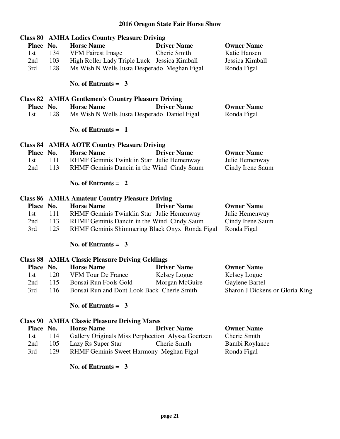|           |     | <b>Class 80 AMHA Ladies Country Pleasure Driving</b>      |                    |                   |  |  |
|-----------|-----|-----------------------------------------------------------|--------------------|-------------------|--|--|
| Place No. |     | <b>Horse Name</b>                                         | <b>Driver Name</b> | <b>Owner Name</b> |  |  |
| 1st       | 134 | VFM Fairest Image                                         | Cherie Smith       | Katie Hansen      |  |  |
| 2nd       | 103 | High Roller Lady Triple Luck Jessica Kimball              |                    | Jessica Kimball   |  |  |
| 3rd       | 128 | Ms Wish N Wells Justa Desperado Meghan Figal              |                    | Ronda Figal       |  |  |
|           |     | No. of Entrants $=$ 3                                     |                    |                   |  |  |
|           |     | <b>Class 82 AMHA Gentlemen's Country Pleasure Driving</b> |                    |                   |  |  |
| Place No. |     | <b>Horse Name</b>                                         | <b>Driver Name</b> | <b>Owner Name</b> |  |  |
| 1st       | 128 | Ms Wish N Wells Justa Desperado Daniel Figal              |                    | Ronda Figal       |  |  |
|           |     | No. of Entrants $= 1$                                     |                    |                   |  |  |
|           |     | <b>Class 84 AMHA AOTE Country Pleasure Driving</b>        |                    |                   |  |  |
| Place No. |     | <b>Horse Name</b>                                         | <b>Driver Name</b> | <b>Owner Name</b> |  |  |
| 1st       | 111 | RHMF Geminis Twinklin Star Julie Hemenway                 |                    | Julie Hemenway    |  |  |
| 2nd       | 113 | RHMF Geminis Dancin in the Wind Cindy Saum                |                    | Cindy Irene Saum  |  |  |
|           |     | No. of Entrants $= 2$                                     |                    |                   |  |  |
|           |     | <b>Class 86 AMHA Amateur Country Pleasure Driving</b>     |                    |                   |  |  |
| Place No. |     | <b>Horse Name</b>                                         | <b>Driver Name</b> | <b>Owner Name</b> |  |  |

| $114UC$ $13U0$ |     | погостуацие                                                | <b>DITECT PRIME</b> | <b>OWNU RANG</b> |
|----------------|-----|------------------------------------------------------------|---------------------|------------------|
| 1st.           |     | RHMF Geminis Twinklin Star Julie Hemenway                  |                     | Julie Hemenway   |
| 2nd            | 113 | RHMF Geminis Dancin in the Wind Cindy Saum                 |                     | Cindy Irene Saum |
| 3rd            | 125 | RHMF Geminis Shimmering Black Onyx Ronda Figal Ronda Figal |                     |                  |

 **No. of Entrants = 3** 

|     | <b>Horse Name</b>         | <b>Driver Name</b> | <b>Owner Name</b>                                                                                    |  |  |
|-----|---------------------------|--------------------|------------------------------------------------------------------------------------------------------|--|--|
| 120 | <b>VFM Tour De France</b> | Kelsey Logue       | Kelsey Logue                                                                                         |  |  |
| 115 | Bonsai Run Fools Gold     | Morgan McGuire     | Gaylene Bartel                                                                                       |  |  |
| 116 |                           |                    | Sharon J Dickens or Gloria King                                                                      |  |  |
|     | Place No.                 |                    | <b>Class 88 AMHA Classic Pleasure Driving Geldings</b><br>Bonsai Run and Dont Look Back Cherie Smith |  |  |

# **No. of Entrants = 3**

# **Class 90 AMHA Classic Pleasure Driving Mares**

| Place No. |     | <b>Horse Name</b>                              | <b>Driver Name</b>                                 | <b>Owner Name</b> |
|-----------|-----|------------------------------------------------|----------------------------------------------------|-------------------|
| 1st       | 114 |                                                | Gallery Originals Miss Perphection Alyssa Goertzen | Cherie Smith      |
| 2nd       | 105 | Lazy Rs Super Star                             | Cherie Smith                                       | Bambi Roylance    |
| 3rd       | 129 | <b>RHMF Geminis Sweet Harmony Meghan Figal</b> |                                                    | Ronda Figal       |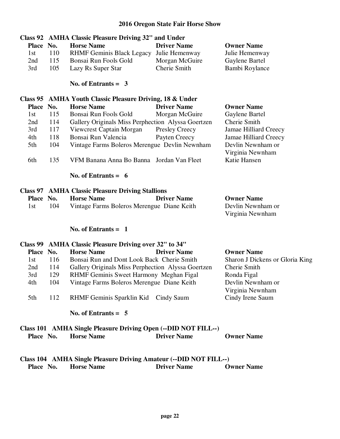| <b>Class 92</b><br>Place No. |     | <b>AMHA Classic Pleasure Driving 32" and Under</b><br><b>Horse Name</b> | <b>Driver Name</b>    | <b>Owner Name</b>                     |
|------------------------------|-----|-------------------------------------------------------------------------|-----------------------|---------------------------------------|
| 1st                          | 110 | RHMF Geminis Black Legacy Julie Hemenway                                |                       | Julie Hemenway                        |
| 2nd                          | 115 | Bonsai Run Fools Gold                                                   | Morgan McGuire        | Gaylene Bartel                        |
| 3rd                          | 105 | Lazy Rs Super Star                                                      | Cherie Smith          | Bambi Roylance                        |
|                              |     | No. of Entrants $=$ 3                                                   |                       |                                       |
| Class 95                     |     | <b>AMHA Youth Classic Pleasure Driving, 18 &amp; Under</b>              |                       |                                       |
| <b>Place</b>                 | No. | <b>Horse Name</b>                                                       | <b>Driver Name</b>    | <b>Owner Name</b>                     |
| 1st                          | 115 | Bonsai Run Fools Gold                                                   | Morgan McGuire        | Gaylene Bartel                        |
| 2nd                          | 114 | Gallery Originals Miss Perphection Alyssa Goertzen                      |                       | Cherie Smith                          |
| 3rd                          | 117 | Viewcrest Captain Morgan                                                | <b>Presley Creecy</b> | Jamae Hilliard Creecy                 |
| 4th                          | 118 | Bonsai Run Valencia                                                     | Payten Creecy         | Jamae Hilliard Creecy                 |
| 5th                          | 104 | Vintage Farms Boleros Merengue Devlin Newnham                           |                       | Devlin Newnham or<br>Virginia Newnham |
| 6th                          | 135 | VFM Banana Anna Bo Banna Jordan Van Fleet                               |                       | Katie Hansen                          |
|                              |     | No. of Entrants $= 6$                                                   |                       |                                       |
| Class 97                     |     | <b>AMHA Classic Pleasure Driving Stallions</b>                          |                       |                                       |
| <b>Place</b>                 | No. | <b>Horse Name</b>                                                       | <b>Driver Name</b>    | <b>Owner Name</b>                     |
| 1st                          | 104 | Vintage Farms Boleros Merengue Diane Keith                              |                       | Devlin Newnham or                     |
|                              |     |                                                                         |                       | Virginia Newnham                      |
|                              |     | No. of Entrants $= 1$                                                   |                       |                                       |

|           | Class 99 AMHA Classic Pleasure Driving over 32" to 34" |                                                                    |                    |                                 |  |
|-----------|--------------------------------------------------------|--------------------------------------------------------------------|--------------------|---------------------------------|--|
| Place No. |                                                        | <b>Horse Name</b>                                                  | <b>Driver Name</b> | <b>Owner Name</b>               |  |
| 1st       | 116                                                    | Bonsai Run and Dont Look Back Cherie Smith                         |                    | Sharon J Dickens or Gloria King |  |
| 2nd       | 114                                                    | Cherie Smith<br>Gallery Originals Miss Perphection Alyssa Goertzen |                    |                                 |  |
| 3rd       | 129                                                    | RHMF Geminis Sweet Harmony Meghan Figal                            |                    | Ronda Figal                     |  |
| 4th       | 104                                                    | Vintage Farms Boleros Merengue Diane Keith                         |                    | Devlin Newnham or               |  |
|           |                                                        |                                                                    |                    | Virginia Newnham                |  |
| 5th       | 112                                                    | RHMF Geminis Sparklin Kid Cindy Saum                               |                    | Cindy Irene Saum                |  |
|           |                                                        |                                                                    |                    |                                 |  |
|           |                                                        | No. of Entrants $= 5$                                              |                    |                                 |  |

|           |                   | Class 101 AMHA Single Pleasure Driving Open (--DID NOT FILL--) |                   |
|-----------|-------------------|----------------------------------------------------------------|-------------------|
| Place No. | <b>Horse Name</b> | <b>Driver Name</b>                                             | <b>Owner Name</b> |

# **Class 104 AMHA Single Pleasure Driving Amateur (--DID NOT FILL--)<br>Place No. Horse Name Driver Name O Place Name Driver Name Owner Name**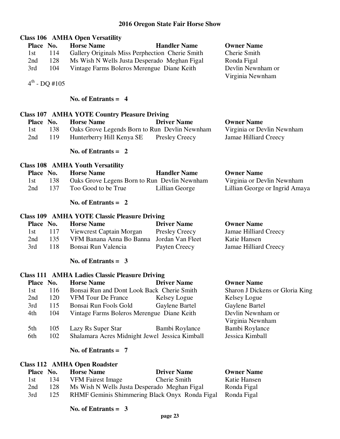# **Class 106 AMHA Open Versatility Place No. Horse Name Handler Name Owner Name**  1st 114 Gallery Originals Miss Perphection Cherie Smith Cherie Smith 2nd 128 Ms Wish N Wells Justa Desperado Meghan Figal Ronda Figal 3rd 104 Vintage Farms Boleros Merengue Diane Keith Devlin Newnham or Virginia Newnham  $4^{th}$  - DO #105  **No. of Entrants = 4 Class 107 AMHA YOTE Country Pleasure Driving Place No. Horse Name Driver Name Owner Name**  1st 138 Oaks Grove Legends Born to Run Devlin Newnham Virginia or Devlin Newnham 2nd 119 Hunterberry Hill Kenya SE Presley Creecy Jamae Hilliard Creecy  **No. of Entrants = 2 Class 108 AMHA Youth Versatility Place No. Horse Name Handler Name Owner Name**  1st 138 Oaks Grove Legens Born to Run Devlin Newnham Virginia or Devlin Newnham 2nd 137 Too Good to be True Lillian George Lillian George or Ingrid Amaya  **No. of Entrants = 2 Class 109 AMHA YOTE Classic Pleasure Driving Place No. Horse Name Driver Name Driver Name Owner Name**<br>1st 117 Viewcrest Captain Morgan Presley Creecy Jamae Hilliard Creecy 1st 117 Viewcrest Captain Morgan Presley Creecy 2nd 135 VFM Banana Anna Bo Banna Jordan Van Fleet Katie Hansen 3rd 118 Bonsai Run Valencia Payten Creecy Jamae Hilliard Creecy  **No. of Entrants = 3 Class 111 AMHA Ladies Classic Pleasure Driving Place No. Horse Name Driver Name Owner Name**  1st 116 Bonsai Run and Dont Look Back Cherie Smith Sharon J Dickens or Gloria King 2nd 120 VFM Tour De France Kelsey Logue Kelsey Logue 3rd 115 Bonsai Run Fools Gold Gaylene Bartel Gaylene Bartel 4th 104 Vintage Farms Boleros Merengue Diane Keith Devlin Newnham or Virginia Newnham 5th 105 Lazy Rs Super Star Bambi Roylance Bambi Roylance 6th 102 Shalamara Acres Midnight Jewel Jessica Kimball Jessica Kimball  **No. of Entrants = 7 Class 112 AMHA Open Roadster Place No. Horse Name Driver Name Owner Name**  1st 134 VFM Fairest Image Cherie Smith Katie Hansen 2nd 128 Ms Wish N Wells Justa Desperado Meghan Figal Ronda Figal

- 3rd 125 RHMF Geminis Shimmering Black Onyx Ronda Figal Ronda Figal
	- **No. of Entrants = 3**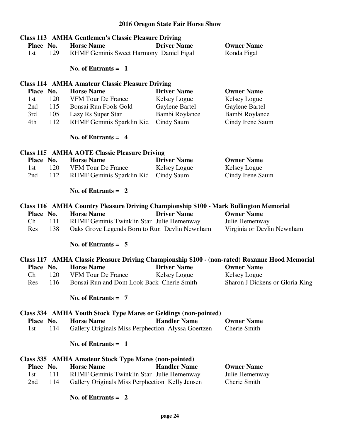|                         | <b>Class 113 AMHA Gentlemen's Classic Pleasure Driving</b>                            | <b>Driver Name</b>  |                                                                                                                     |
|-------------------------|---------------------------------------------------------------------------------------|---------------------|---------------------------------------------------------------------------------------------------------------------|
| Place No.<br>129<br>1st | <b>Horse Name</b><br>RHMF Geminis Sweet Harmony Daniel Figal                          |                     | <b>Owner Name</b><br>Ronda Figal                                                                                    |
|                         |                                                                                       |                     |                                                                                                                     |
|                         | No. of Entrants $= 1$                                                                 |                     |                                                                                                                     |
|                         | <b>Class 114 AMHA Amateur Classic Pleasure Driving</b>                                |                     |                                                                                                                     |
| Place No.               | <b>Horse Name</b>                                                                     | <b>Driver Name</b>  | <b>Owner Name</b>                                                                                                   |
| 120<br>1st              | VFM Tour De France                                                                    | Kelsey Logue        | Kelsey Logue                                                                                                        |
| 115<br>2nd              | Bonsai Run Fools Gold                                                                 | Gaylene Bartel      | Gaylene Bartel                                                                                                      |
| 105<br>3rd              | Lazy Rs Super Star                                                                    | Bambi Roylance      | Bambi Roylance                                                                                                      |
| 112<br>4th              | RHMF Geminis Sparklin Kid                                                             | Cindy Saum          | Cindy Irene Saum                                                                                                    |
|                         | No. of Entrants $= 4$                                                                 |                     |                                                                                                                     |
|                         | <b>Class 115 AMHA AOTE Classic Pleasure Driving</b>                                   |                     |                                                                                                                     |
| Place No.               | <b>Horse Name</b>                                                                     | <b>Driver Name</b>  | <b>Owner Name</b>                                                                                                   |
| 120<br>1st              | VFM Tour De France                                                                    | Kelsey Logue        | Kelsey Logue                                                                                                        |
| 112<br>2nd              | RHMF Geminis Sparklin Kid Cindy Saum                                                  |                     | Cindy Irene Saum                                                                                                    |
|                         |                                                                                       |                     |                                                                                                                     |
|                         | No. of Entrants $= 2$                                                                 |                     |                                                                                                                     |
|                         | Class 116 AMHA Country Pleasure Driving Championship \$100 - Mark Bullington Memorial |                     |                                                                                                                     |
| Place No.               | <b>Horse Name</b>                                                                     | <b>Driver Name</b>  | <b>Owner Name</b>                                                                                                   |
| Ch<br>111               | RHMF Geminis Twinklin Star Julie Hemenway                                             |                     | Julie Hemenway                                                                                                      |
| 138<br>Res              | Oaks Grove Legends Born to Run Devlin Newnham                                         |                     | Virginia or Devlin Newnham                                                                                          |
|                         | No. of Entrants $= 5$                                                                 |                     |                                                                                                                     |
|                         |                                                                                       |                     |                                                                                                                     |
| Place No.               | <b>Horse Name</b>                                                                     | <b>Driver Name</b>  | Class 117 AMHA Classic Pleasure Driving Championship \$100 - (non-rated) Roxanne Hood Memorial<br><b>Owner Name</b> |
|                         |                                                                                       |                     |                                                                                                                     |
| 120<br>Ch               | VFM Tour De France Kelsey Logue                                                       |                     | Kelsey Logue                                                                                                        |
| 116<br>Res              | Bonsai Run and Dont Look Back Cherie Smith                                            |                     | Sharon J Dickens or Gloria King                                                                                     |
|                         | No. of Entrants $= 7$                                                                 |                     |                                                                                                                     |
|                         | <b>Class 334 AMHA Youth Stock Type Mares or Geldings (non-pointed)</b>                |                     |                                                                                                                     |
| Place No.               | <b>Horse Name</b>                                                                     | <b>Handler Name</b> | <b>Owner Name</b>                                                                                                   |
| 114<br>1st              | Gallery Originals Miss Perphection Alyssa Goertzen                                    |                     | Cherie Smith                                                                                                        |
|                         | No. of Entrants $= 1$                                                                 |                     |                                                                                                                     |
|                         | Class 335 AMHA Amateur Stock Type Mares (non-pointed)                                 |                     |                                                                                                                     |
| Place No.               | <b>Horse Name</b>                                                                     | <b>Handler Name</b> | <b>Owner Name</b>                                                                                                   |
| 111<br>1st              | RHMF Geminis Twinklin Star Julie Hemenway                                             |                     | Julie Hemenway                                                                                                      |
| 2nd<br>114              | Gallery Originals Miss Perphection Kelly Jensen                                       |                     | Cherie Smith                                                                                                        |